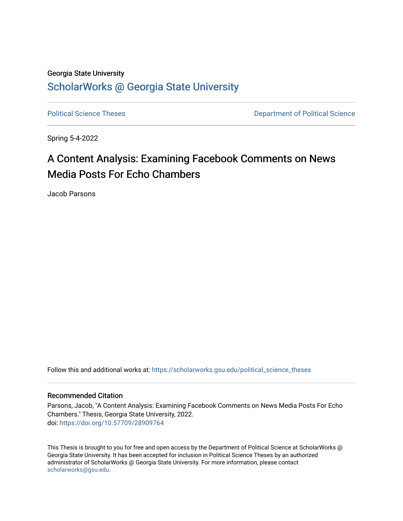# Georgia State University [ScholarWorks @ Georgia State University](https://scholarworks.gsu.edu/)

[Political Science Theses](https://scholarworks.gsu.edu/political_science_theses) **Department of Political Science** 

Spring 5-4-2022

# A Content Analysis: Examining Facebook Comments on News Media Posts For Echo Chambers

Jacob Parsons

Follow this and additional works at: [https://scholarworks.gsu.edu/political\\_science\\_theses](https://scholarworks.gsu.edu/political_science_theses?utm_source=scholarworks.gsu.edu%2Fpolitical_science_theses%2F98&utm_medium=PDF&utm_campaign=PDFCoverPages) 

### Recommended Citation

Parsons, Jacob, "A Content Analysis: Examining Facebook Comments on News Media Posts For Echo Chambers." Thesis, Georgia State University, 2022. doi: <https://doi.org/10.57709/28909764>

This Thesis is brought to you for free and open access by the Department of Political Science at ScholarWorks @ Georgia State University. It has been accepted for inclusion in Political Science Theses by an authorized administrator of ScholarWorks @ Georgia State University. For more information, please contact [scholarworks@gsu.edu.](mailto:scholarworks@gsu.edu)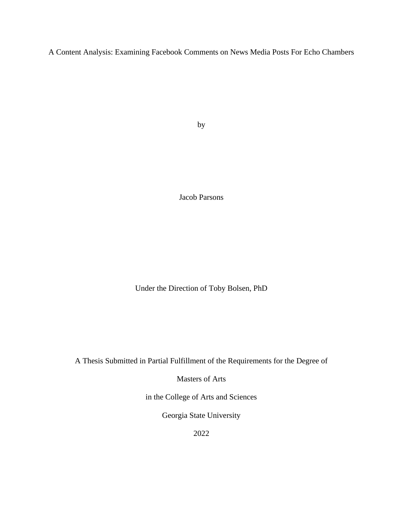A Content Analysis: Examining Facebook Comments on News Media Posts For Echo Chambers

by

Jacob Parsons

Under the Direction of Toby Bolsen, PhD

A Thesis Submitted in Partial Fulfillment of the Requirements for the Degree of

Masters of Arts

in the College of Arts and Sciences

Georgia State University

2022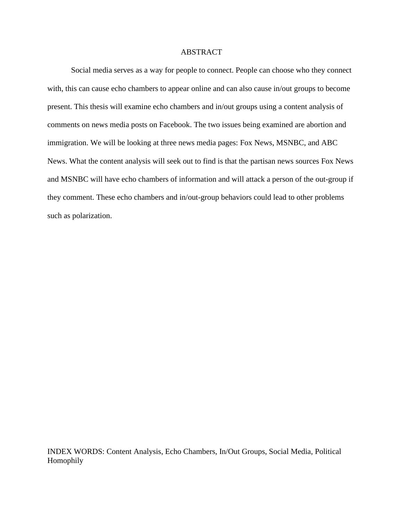#### ABSTRACT

Social media serves as a way for people to connect. People can choose who they connect with, this can cause echo chambers to appear online and can also cause in/out groups to become present. This thesis will examine echo chambers and in/out groups using a content analysis of comments on news media posts on Facebook. The two issues being examined are abortion and immigration. We will be looking at three news media pages: Fox News, MSNBC, and ABC News. What the content analysis will seek out to find is that the partisan news sources Fox News and MSNBC will have echo chambers of information and will attack a person of the out-group if they comment. These echo chambers and in/out-group behaviors could lead to other problems such as polarization.

INDEX WORDS: Content Analysis, Echo Chambers, In/Out Groups, Social Media, Political Homophily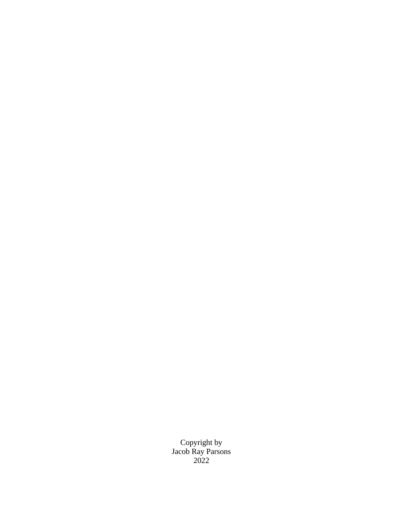Copyright by Jacob Ray Parsons 2022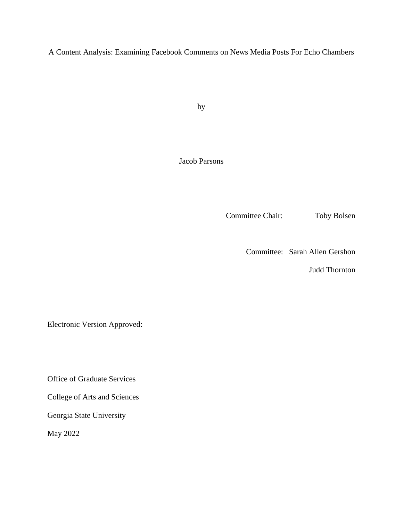A Content Analysis: Examining Facebook Comments on News Media Posts For Echo Chambers

by

Jacob Parsons

Committee Chair: Toby Bolsen

Committee: Sarah Allen Gershon

Judd Thornton

Electronic Version Approved:

Office of Graduate Services

College of Arts and Sciences

Georgia State University

May 2022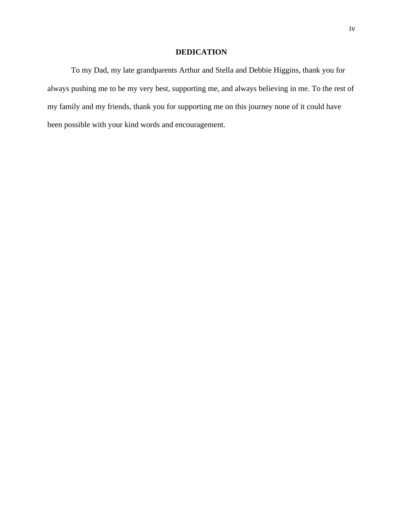# **DEDICATION**

To my Dad, my late grandparents Arthur and Stella and Debbie Higgins, thank you for always pushing me to be my very best, supporting me, and always believing in me. To the rest of my family and my friends, thank you for supporting me on this journey none of it could have been possible with your kind words and encouragement.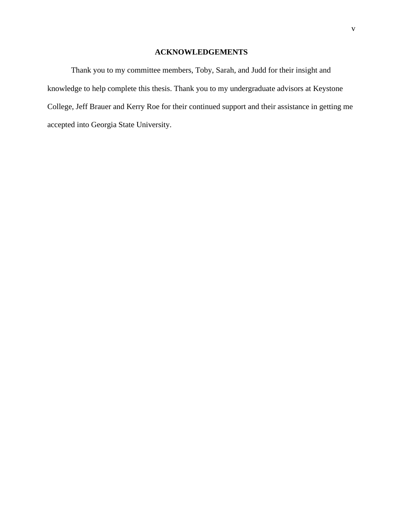# **ACKNOWLEDGEMENTS**

<span id="page-6-0"></span>Thank you to my committee members, Toby, Sarah, and Judd for their insight and knowledge to help complete this thesis. Thank you to my undergraduate advisors at Keystone College, Jeff Brauer and Kerry Roe for their continued support and their assistance in getting me accepted into Georgia State University.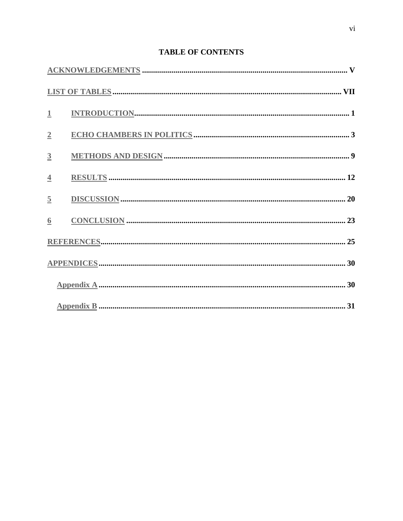# **TABLE OF CONTENTS**

| $\mathbf{1}$   |  |
|----------------|--|
| $\overline{2}$ |  |
| $\overline{3}$ |  |
| $\overline{4}$ |  |
| $\overline{5}$ |  |
| 6              |  |
|                |  |
|                |  |
|                |  |
|                |  |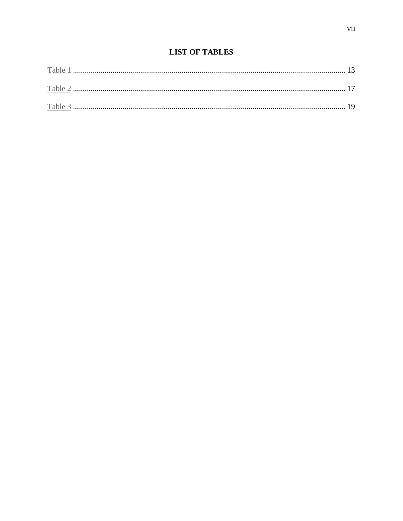<span id="page-8-0"></span>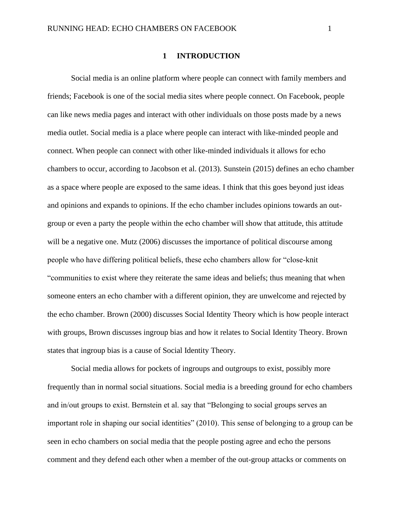#### **1 INTRODUCTION**

<span id="page-9-0"></span>Social media is an online platform where people can connect with family members and friends; Facebook is one of the social media sites where people connect. On Facebook, people can like news media pages and interact with other individuals on those posts made by a news media outlet. Social media is a place where people can interact with like-minded people and connect. When people can connect with other like-minded individuals it allows for echo chambers to occur, according to Jacobson et al. (2013). Sunstein (2015) defines an echo chamber as a space where people are exposed to the same ideas. I think that this goes beyond just ideas and opinions and expands to opinions. If the echo chamber includes opinions towards an outgroup or even a party the people within the echo chamber will show that attitude, this attitude will be a negative one. Mutz (2006) discusses the importance of political discourse among people who have differing political beliefs, these echo chambers allow for "close-knit "communities to exist where they reiterate the same ideas and beliefs; thus meaning that when someone enters an echo chamber with a different opinion, they are unwelcome and rejected by the echo chamber. Brown (2000) discusses Social Identity Theory which is how people interact with groups, Brown discusses ingroup bias and how it relates to Social Identity Theory. Brown states that ingroup bias is a cause of Social Identity Theory.

Social media allows for pockets of ingroups and outgroups to exist, possibly more frequently than in normal social situations. Social media is a breeding ground for echo chambers and in/out groups to exist. Bernstein et al. say that "Belonging to social groups serves an important role in shaping our social identities" (2010). This sense of belonging to a group can be seen in echo chambers on social media that the people posting agree and echo the persons comment and they defend each other when a member of the out-group attacks or comments on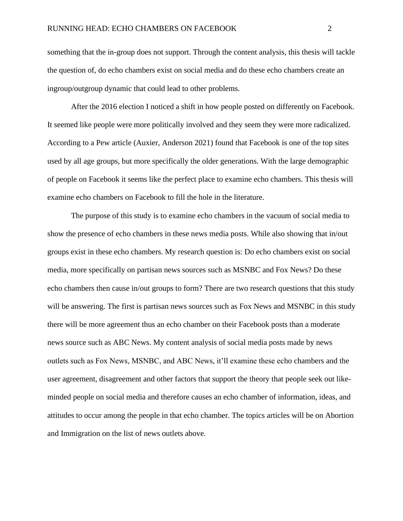something that the in-group does not support. Through the content analysis, this thesis will tackle the question of, do echo chambers exist on social media and do these echo chambers create an ingroup/outgroup dynamic that could lead to other problems.

After the 2016 election I noticed a shift in how people posted on differently on Facebook. It seemed like people were more politically involved and they seem they were more radicalized. According to a Pew article (Auxier, Anderson 2021) found that Facebook is one of the top sites used by all age groups, but more specifically the older generations. With the large demographic of people on Facebook it seems like the perfect place to examine echo chambers. This thesis will examine echo chambers on Facebook to fill the hole in the literature.

The purpose of this study is to examine echo chambers in the vacuum of social media to show the presence of echo chambers in these news media posts. While also showing that in/out groups exist in these echo chambers. My research question is: Do echo chambers exist on social media, more specifically on partisan news sources such as MSNBC and Fox News? Do these echo chambers then cause in/out groups to form? There are two research questions that this study will be answering. The first is partisan news sources such as Fox News and MSNBC in this study there will be more agreement thus an echo chamber on their Facebook posts than a moderate news source such as ABC News. My content analysis of social media posts made by news outlets such as Fox News, MSNBC, and ABC News, it'll examine these echo chambers and the user agreement, disagreement and other factors that support the theory that people seek out likeminded people on social media and therefore causes an echo chamber of information, ideas, and attitudes to occur among the people in that echo chamber. The topics articles will be on Abortion and Immigration on the list of news outlets above.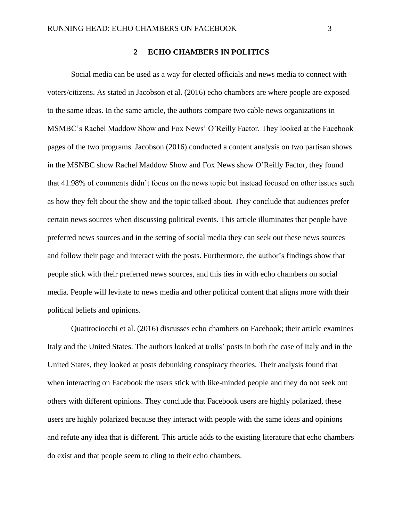#### **2 ECHO CHAMBERS IN POLITICS**

<span id="page-11-0"></span>Social media can be used as a way for elected officials and news media to connect with voters/citizens. As stated in Jacobson et al. (2016) echo chambers are where people are exposed to the same ideas. In the same article, the authors compare two cable news organizations in MSMBC's Rachel Maddow Show and Fox News' O'Reilly Factor. They looked at the Facebook pages of the two programs. Jacobson (2016) conducted a content analysis on two partisan shows in the MSNBC show Rachel Maddow Show and Fox News show O'Reilly Factor, they found that 41.98% of comments didn't focus on the news topic but instead focused on other issues such as how they felt about the show and the topic talked about. They conclude that audiences prefer certain news sources when discussing political events. This article illuminates that people have preferred news sources and in the setting of social media they can seek out these news sources and follow their page and interact with the posts. Furthermore, the author's findings show that people stick with their preferred news sources, and this ties in with echo chambers on social media. People will levitate to news media and other political content that aligns more with their political beliefs and opinions.

Quattrociocchi et al. (2016) discusses echo chambers on Facebook; their article examines Italy and the United States. The authors looked at trolls' posts in both the case of Italy and in the United States, they looked at posts debunking conspiracy theories. Their analysis found that when interacting on Facebook the users stick with like-minded people and they do not seek out others with different opinions. They conclude that Facebook users are highly polarized, these users are highly polarized because they interact with people with the same ideas and opinions and refute any idea that is different. This article adds to the existing literature that echo chambers do exist and that people seem to cling to their echo chambers.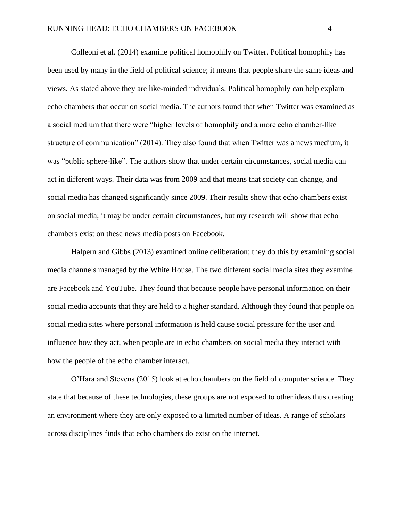Colleoni et al. (2014) examine political homophily on Twitter. Political homophily has been used by many in the field of political science; it means that people share the same ideas and views. As stated above they are like-minded individuals. Political homophily can help explain echo chambers that occur on social media. The authors found that when Twitter was examined as a social medium that there were "higher levels of homophily and a more echo chamber-like structure of communication" (2014). They also found that when Twitter was a news medium, it was "public sphere-like". The authors show that under certain circumstances, social media can act in different ways. Their data was from 2009 and that means that society can change, and social media has changed significantly since 2009. Their results show that echo chambers exist on social media; it may be under certain circumstances, but my research will show that echo chambers exist on these news media posts on Facebook.

Halpern and Gibbs (2013) examined online deliberation; they do this by examining social media channels managed by the White House. The two different social media sites they examine are Facebook and YouTube. They found that because people have personal information on their social media accounts that they are held to a higher standard. Although they found that people on social media sites where personal information is held cause social pressure for the user and influence how they act, when people are in echo chambers on social media they interact with how the people of the echo chamber interact.

O'Hara and Stevens (2015) look at echo chambers on the field of computer science. They state that because of these technologies, these groups are not exposed to other ideas thus creating an environment where they are only exposed to a limited number of ideas. A range of scholars across disciplines finds that echo chambers do exist on the internet.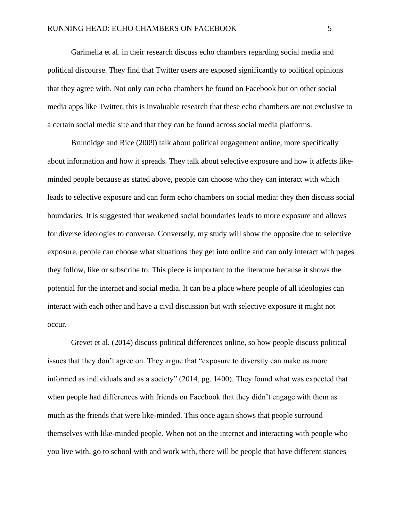Garimella et al. in their research discuss echo chambers regarding social media and political discourse. They find that Twitter users are exposed significantly to political opinions that they agree with. Not only can echo chambers be found on Facebook but on other social media apps like Twitter, this is invaluable research that these echo chambers are not exclusive to a certain social media site and that they can be found across social media platforms.

Brundidge and Rice (2009) talk about political engagement online, more specifically about information and how it spreads. They talk about selective exposure and how it affects likeminded people because as stated above, people can choose who they can interact with which leads to selective exposure and can form echo chambers on social media: they then discuss social boundaries. It is suggested that weakened social boundaries leads to more exposure and allows for diverse ideologies to converse. Conversely, my study will show the opposite due to selective exposure, people can choose what situations they get into online and can only interact with pages they follow, like or subscribe to. This piece is important to the literature because it shows the potential for the internet and social media. It can be a place where people of all ideologies can interact with each other and have a civil discussion but with selective exposure it might not occur.

Grevet et al. (2014) discuss political differences online, so how people discuss political issues that they don't agree on. They argue that "exposure to diversity can make us more informed as individuals and as a society" (2014, pg. 1400). They found what was expected that when people had differences with friends on Facebook that they didn't engage with them as much as the friends that were like-minded. This once again shows that people surround themselves with like-minded people. When not on the internet and interacting with people who you live with, go to school with and work with, there will be people that have different stances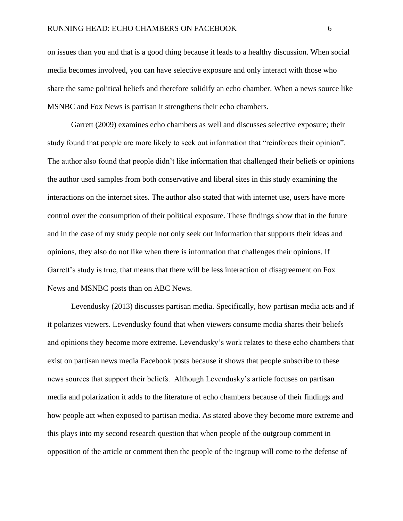on issues than you and that is a good thing because it leads to a healthy discussion. When social media becomes involved, you can have selective exposure and only interact with those who share the same political beliefs and therefore solidify an echo chamber. When a news source like MSNBC and Fox News is partisan it strengthens their echo chambers.

Garrett (2009) examines echo chambers as well and discusses selective exposure; their study found that people are more likely to seek out information that "reinforces their opinion". The author also found that people didn't like information that challenged their beliefs or opinions the author used samples from both conservative and liberal sites in this study examining the interactions on the internet sites. The author also stated that with internet use, users have more control over the consumption of their political exposure. These findings show that in the future and in the case of my study people not only seek out information that supports their ideas and opinions, they also do not like when there is information that challenges their opinions. If Garrett's study is true, that means that there will be less interaction of disagreement on Fox News and MSNBC posts than on ABC News.

Levendusky (2013) discusses partisan media. Specifically, how partisan media acts and if it polarizes viewers. Levendusky found that when viewers consume media shares their beliefs and opinions they become more extreme. Levendusky's work relates to these echo chambers that exist on partisan news media Facebook posts because it shows that people subscribe to these news sources that support their beliefs. Although Levendusky's article focuses on partisan media and polarization it adds to the literature of echo chambers because of their findings and how people act when exposed to partisan media. As stated above they become more extreme and this plays into my second research question that when people of the outgroup comment in opposition of the article or comment then the people of the ingroup will come to the defense of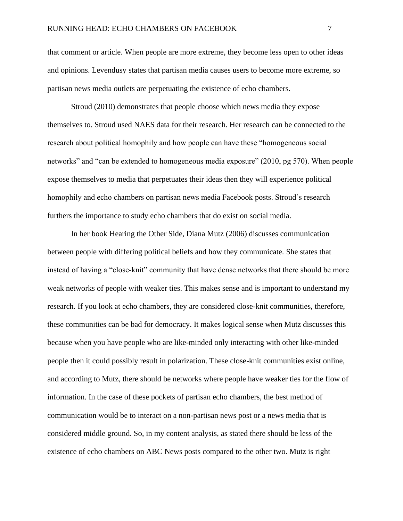that comment or article. When people are more extreme, they become less open to other ideas and opinions. Levendusy states that partisan media causes users to become more extreme, so partisan news media outlets are perpetuating the existence of echo chambers.

Stroud (2010) demonstrates that people choose which news media they expose themselves to. Stroud used NAES data for their research. Her research can be connected to the research about political homophily and how people can have these "homogeneous social networks" and "can be extended to homogeneous media exposure" (2010, pg 570). When people expose themselves to media that perpetuates their ideas then they will experience political homophily and echo chambers on partisan news media Facebook posts. Stroud's research furthers the importance to study echo chambers that do exist on social media.

In her book Hearing the Other Side, Diana Mutz (2006) discusses communication between people with differing political beliefs and how they communicate. She states that instead of having a "close-knit" community that have dense networks that there should be more weak networks of people with weaker ties. This makes sense and is important to understand my research. If you look at echo chambers, they are considered close-knit communities, therefore, these communities can be bad for democracy. It makes logical sense when Mutz discusses this because when you have people who are like-minded only interacting with other like-minded people then it could possibly result in polarization. These close-knit communities exist online, and according to Mutz, there should be networks where people have weaker ties for the flow of information. In the case of these pockets of partisan echo chambers, the best method of communication would be to interact on a non-partisan news post or a news media that is considered middle ground. So, in my content analysis, as stated there should be less of the existence of echo chambers on ABC News posts compared to the other two. Mutz is right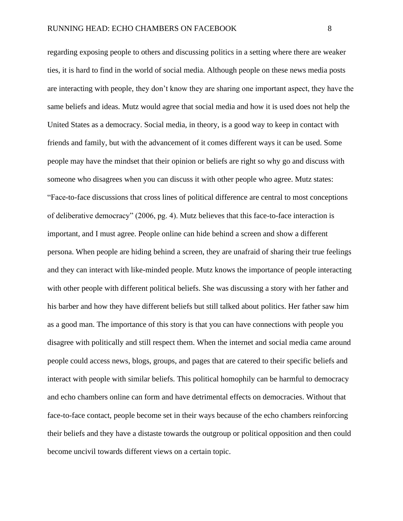regarding exposing people to others and discussing politics in a setting where there are weaker ties, it is hard to find in the world of social media. Although people on these news media posts are interacting with people, they don't know they are sharing one important aspect, they have the same beliefs and ideas. Mutz would agree that social media and how it is used does not help the United States as a democracy. Social media, in theory, is a good way to keep in contact with friends and family, but with the advancement of it comes different ways it can be used. Some people may have the mindset that their opinion or beliefs are right so why go and discuss with someone who disagrees when you can discuss it with other people who agree. Mutz states: "Face-to-face discussions that cross lines of political difference are central to most conceptions of deliberative democracy" (2006, pg. 4). Mutz believes that this face-to-face interaction is important, and I must agree. People online can hide behind a screen and show a different persona. When people are hiding behind a screen, they are unafraid of sharing their true feelings and they can interact with like-minded people. Mutz knows the importance of people interacting with other people with different political beliefs. She was discussing a story with her father and his barber and how they have different beliefs but still talked about politics. Her father saw him as a good man. The importance of this story is that you can have connections with people you disagree with politically and still respect them. When the internet and social media came around people could access news, blogs, groups, and pages that are catered to their specific beliefs and interact with people with similar beliefs. This political homophily can be harmful to democracy and echo chambers online can form and have detrimental effects on democracies. Without that face-to-face contact, people become set in their ways because of the echo chambers reinforcing their beliefs and they have a distaste towards the outgroup or political opposition and then could

become uncivil towards different views on a certain topic.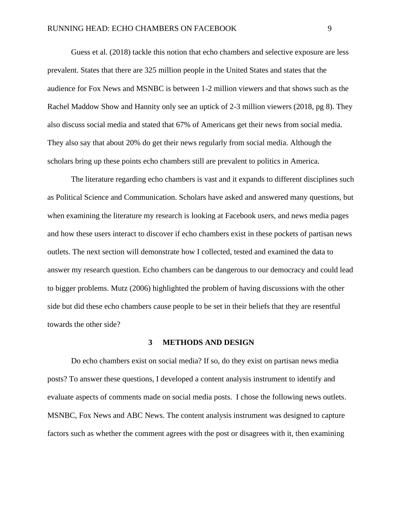Guess et al. (2018) tackle this notion that echo chambers and selective exposure are less prevalent. States that there are 325 million people in the United States and states that the audience for Fox News and MSNBC is between 1-2 million viewers and that shows such as the Rachel Maddow Show and Hannity only see an uptick of 2-3 million viewers (2018, pg 8). They also discuss social media and stated that 67% of Americans get their news from social media. They also say that about 20% do get their news regularly from social media. Although the scholars bring up these points echo chambers still are prevalent to politics in America.

The literature regarding echo chambers is vast and it expands to different disciplines such as Political Science and Communication. Scholars have asked and answered many questions, but when examining the literature my research is looking at Facebook users, and news media pages and how these users interact to discover if echo chambers exist in these pockets of partisan news outlets. The next section will demonstrate how I collected, tested and examined the data to answer my research question. Echo chambers can be dangerous to our democracy and could lead to bigger problems. Mutz (2006) highlighted the problem of having discussions with the other side but did these echo chambers cause people to be set in their beliefs that they are resentful towards the other side?

#### **3 METHODS AND DESIGN**

<span id="page-17-0"></span>Do echo chambers exist on social media? If so, do they exist on partisan news media posts? To answer these questions, I developed a content analysis instrument to identify and evaluate aspects of comments made on social media posts. I chose the following news outlets. MSNBC, Fox News and ABC News. The content analysis instrument was designed to capture factors such as whether the comment agrees with the post or disagrees with it, then examining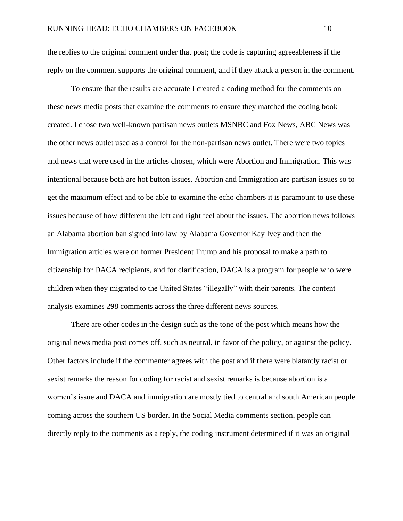the replies to the original comment under that post; the code is capturing agreeableness if the reply on the comment supports the original comment, and if they attack a person in the comment.

To ensure that the results are accurate I created a coding method for the comments on these news media posts that examine the comments to ensure they matched the coding book created. I chose two well-known partisan news outlets MSNBC and Fox News, ABC News was the other news outlet used as a control for the non-partisan news outlet. There were two topics and news that were used in the articles chosen, which were Abortion and Immigration. This was intentional because both are hot button issues. Abortion and Immigration are partisan issues so to get the maximum effect and to be able to examine the echo chambers it is paramount to use these issues because of how different the left and right feel about the issues. The abortion news follows an Alabama abortion ban signed into law by Alabama Governor Kay Ivey and then the Immigration articles were on former President Trump and his proposal to make a path to citizenship for DACA recipients, and for clarification, DACA is a program for people who were children when they migrated to the United States "illegally" with their parents. The content analysis examines 298 comments across the three different news sources.

There are other codes in the design such as the tone of the post which means how the original news media post comes off, such as neutral, in favor of the policy, or against the policy. Other factors include if the commenter agrees with the post and if there were blatantly racist or sexist remarks the reason for coding for racist and sexist remarks is because abortion is a women's issue and DACA and immigration are mostly tied to central and south American people coming across the southern US border. In the Social Media comments section, people can directly reply to the comments as a reply, the coding instrument determined if it was an original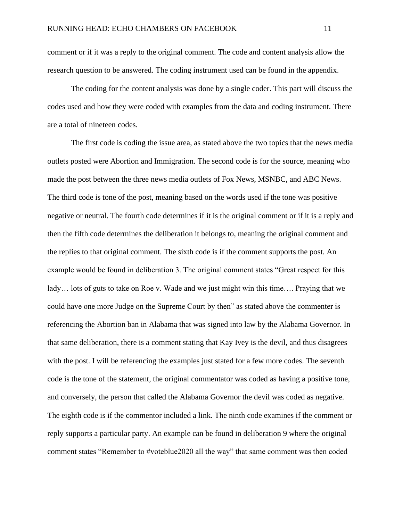comment or if it was a reply to the original comment. The code and content analysis allow the research question to be answered. The coding instrument used can be found in the appendix.

The coding for the content analysis was done by a single coder. This part will discuss the codes used and how they were coded with examples from the data and coding instrument. There are a total of nineteen codes.

The first code is coding the issue area, as stated above the two topics that the news media outlets posted were Abortion and Immigration. The second code is for the source, meaning who made the post between the three news media outlets of Fox News, MSNBC, and ABC News. The third code is tone of the post, meaning based on the words used if the tone was positive negative or neutral. The fourth code determines if it is the original comment or if it is a reply and then the fifth code determines the deliberation it belongs to, meaning the original comment and the replies to that original comment. The sixth code is if the comment supports the post. An example would be found in deliberation 3. The original comment states "Great respect for this lady... lots of guts to take on Roe v. Wade and we just might win this time.... Praying that we could have one more Judge on the Supreme Court by then" as stated above the commenter is referencing the Abortion ban in Alabama that was signed into law by the Alabama Governor. In that same deliberation, there is a comment stating that Kay Ivey is the devil, and thus disagrees with the post. I will be referencing the examples just stated for a few more codes. The seventh code is the tone of the statement, the original commentator was coded as having a positive tone, and conversely, the person that called the Alabama Governor the devil was coded as negative. The eighth code is if the commentor included a link. The ninth code examines if the comment or reply supports a particular party. An example can be found in deliberation 9 where the original comment states "Remember to #voteblue2020 all the way" that same comment was then coded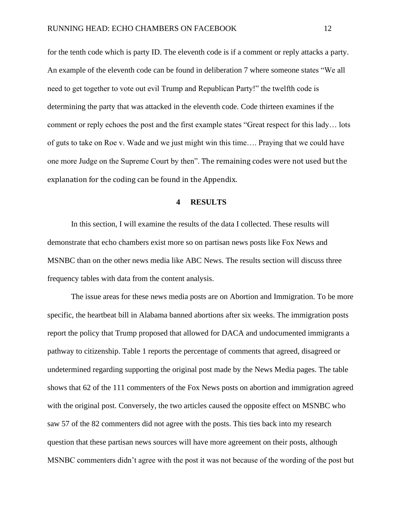for the tenth code which is party ID. The eleventh code is if a comment or reply attacks a party. An example of the eleventh code can be found in deliberation 7 where someone states "We all need to get together to vote out evil Trump and Republican Party!" the twelfth code is determining the party that was attacked in the eleventh code. Code thirteen examines if the comment or reply echoes the post and the first example states "Great respect for this lady… lots of guts to take on Roe v. Wade and we just might win this time…. Praying that we could have one more Judge on the Supreme Court by then". The remaining codes were not used but the explanation for the coding can be found in the Appendix.

#### **4 RESULTS**

<span id="page-20-0"></span>In this section, I will examine the results of the data I collected. These results will demonstrate that echo chambers exist more so on partisan news posts like Fox News and MSNBC than on the other news media like ABC News. The results section will discuss three frequency tables with data from the content analysis.

The issue areas for these news media posts are on Abortion and Immigration. To be more specific, the heartbeat bill in Alabama banned abortions after six weeks. The immigration posts report the policy that Trump proposed that allowed for DACA and undocumented immigrants a pathway to citizenship. Table 1 reports the percentage of comments that agreed, disagreed or undetermined regarding supporting the original post made by the News Media pages. The table shows that 62 of the 111 commenters of the Fox News posts on abortion and immigration agreed with the original post. Conversely, the two articles caused the opposite effect on MSNBC who saw 57 of the 82 commenters did not agree with the posts. This ties back into my research question that these partisan news sources will have more agreement on their posts, although MSNBC commenters didn't agree with the post it was not because of the wording of the post but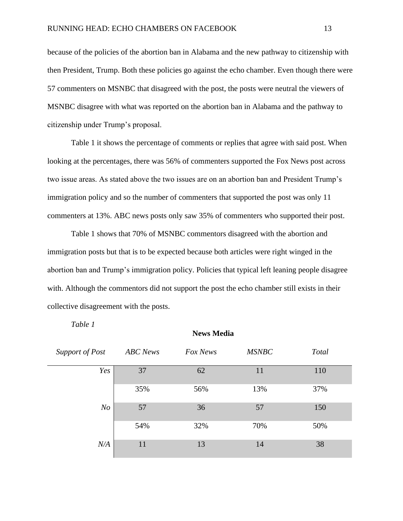because of the policies of the abortion ban in Alabama and the new pathway to citizenship with then President, Trump. Both these policies go against the echo chamber. Even though there were 57 commenters on MSNBC that disagreed with the post, the posts were neutral the viewers of MSNBC disagree with what was reported on the abortion ban in Alabama and the pathway to citizenship under Trump's proposal.

Table 1 it shows the percentage of comments or replies that agree with said post. When looking at the percentages, there was 56% of commenters supported the Fox News post across two issue areas. As stated above the two issues are on an abortion ban and President Trump's immigration policy and so the number of commenters that supported the post was only 11 commenters at 13%. ABC news posts only saw 35% of commenters who supported their post.

Table 1 shows that 70% of MSNBC commentors disagreed with the abortion and immigration posts but that is to be expected because both articles were right winged in the abortion ban and Trump's immigration policy. Policies that typical left leaning people disagree with. Although the commentors did not support the post the echo chamber still exists in their collective disagreement with the posts.

#### *Table 1*

<span id="page-21-0"></span>

| Support of Post | <b>ABC</b> News | Fox News | <b>MSNBC</b> | <b>Total</b> |
|-----------------|-----------------|----------|--------------|--------------|
| Yes             | 37              | 62       | 11           | 110          |
|                 | 35%             | 56%      | 13%          | 37%          |
| N <sub>O</sub>  | 57              | 36       | 57           | 150          |
|                 | 54%             | 32%      | 70%          | 50%          |
| N/A             | 11              | 13       | 14           | 38           |

**News Media**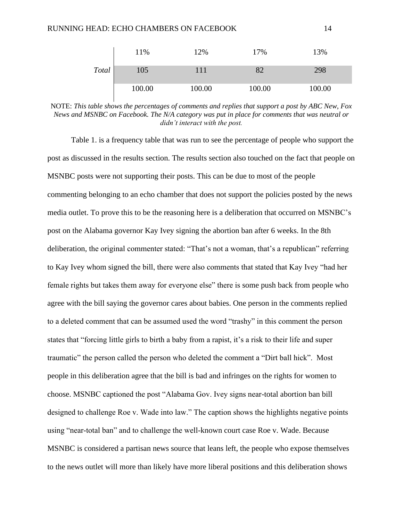|       | 11%    | 12%    | 17%    | 13%    |
|-------|--------|--------|--------|--------|
| Total | 105    | 111    |        | 298    |
|       | 100.00 | 100.00 | 100.00 | 100.00 |

NOTE: *This table shows the percentages of comments and replies that support a post by ABC New, Fox News and MSNBC on Facebook. The N/A category was put in place for comments that was neutral or didn't interact with the post.*

Table 1. is a frequency table that was run to see the percentage of people who support the post as discussed in the results section. The results section also touched on the fact that people on MSNBC posts were not supporting their posts. This can be due to most of the people commenting belonging to an echo chamber that does not support the policies posted by the news media outlet. To prove this to be the reasoning here is a deliberation that occurred on MSNBC's post on the Alabama governor Kay Ivey signing the abortion ban after 6 weeks. In the 8th deliberation, the original commenter stated: "That's not a woman, that's a republican" referring to Kay Ivey whom signed the bill, there were also comments that stated that Kay Ivey "had her female rights but takes them away for everyone else" there is some push back from people who agree with the bill saying the governor cares about babies. One person in the comments replied to a deleted comment that can be assumed used the word "trashy" in this comment the person states that "forcing little girls to birth a baby from a rapist, it's a risk to their life and super traumatic" the person called the person who deleted the comment a "Dirt ball hick". Most people in this deliberation agree that the bill is bad and infringes on the rights for women to choose. MSNBC captioned the post "Alabama Gov. Ivey signs near-total abortion ban bill designed to challenge Roe v. Wade into law." The caption shows the highlights negative points using "near-total ban" and to challenge the well-known court case Roe v. Wade. Because MSNBC is considered a partisan news source that leans left, the people who expose themselves to the news outlet will more than likely have more liberal positions and this deliberation shows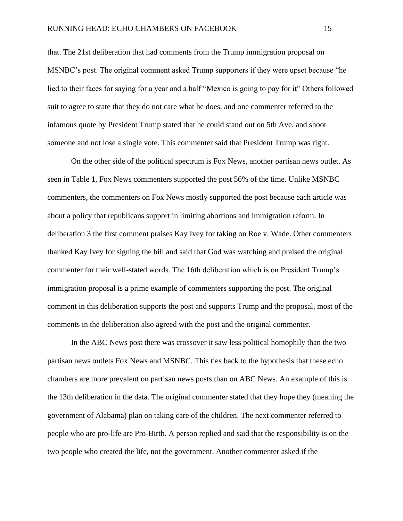that. The 21st deliberation that had comments from the Trump immigration proposal on MSNBC's post. The original comment asked Trump supporters if they were upset because "he lied to their faces for saying for a year and a half "Mexico is going to pay for it" Others followed suit to agree to state that they do not care what he does, and one commenter referred to the infamous quote by President Trump stated that he could stand out on 5th Ave. and shoot someone and not lose a single vote. This commenter said that President Trump was right.

On the other side of the political spectrum is Fox News, another partisan news outlet. As seen in Table 1, Fox News commenters supported the post 56% of the time. Unlike MSNBC commenters, the commenters on Fox News mostly supported the post because each article was about a policy that republicans support in limiting abortions and immigration reform. In deliberation 3 the first comment praises Kay Ivey for taking on Roe v. Wade. Other commenters thanked Kay Ivey for signing the bill and said that God was watching and praised the original commenter for their well-stated words. The 16th deliberation which is on President Trump's immigration proposal is a prime example of commenters supporting the post. The original comment in this deliberation supports the post and supports Trump and the proposal, most of the comments in the deliberation also agreed with the post and the original commenter.

In the ABC News post there was crossover it saw less political homophily than the two partisan news outlets Fox News and MSNBC. This ties back to the hypothesis that these echo chambers are more prevalent on partisan news posts than on ABC News. An example of this is the 13th deliberation in the data. The original commenter stated that they hope they (meaning the government of Alabama) plan on taking care of the children. The next commenter referred to people who are pro-life are Pro-Birth. A person replied and said that the responsibility is on the two people who created the life, not the government. Another commenter asked if the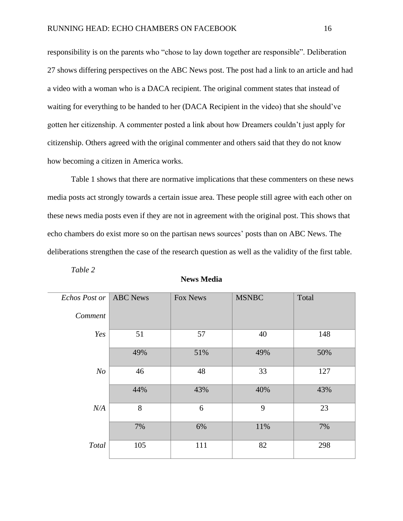responsibility is on the parents who "chose to lay down together are responsible". Deliberation 27 shows differing perspectives on the ABC News post. The post had a link to an article and had a video with a woman who is a DACA recipient. The original comment states that instead of waiting for everything to be handed to her (DACA Recipient in the video) that she should've gotten her citizenship. A commenter posted a link about how Dreamers couldn't just apply for citizenship. Others agreed with the original commenter and others said that they do not know how becoming a citizen in America works.

Table 1 shows that there are normative implications that these commenters on these news media posts act strongly towards a certain issue area. These people still agree with each other on these news media posts even if they are not in agreement with the original post. This shows that echo chambers do exist more so on the partisan news sources' posts than on ABC News. The deliberations strengthen the case of the research question as well as the validity of the first table.

<span id="page-24-0"></span>

| Echos Post or  | <b>ABC</b> News | Fox News | <b>MSNBC</b> | Total |
|----------------|-----------------|----------|--------------|-------|
| Comment        |                 |          |              |       |
| Yes            | 51              | 57       | 40           | 148   |
|                | 49%             | 51%      | 49%          | 50%   |
| N <sub>O</sub> | 46              | 48       | 33           | 127   |
|                | 44%             | 43%      | 40%          | 43%   |
| N/A            | 8               | 6        | 9            | 23    |
|                | 7%              | 6%       | 11%          | 7%    |
| Total          | 105             | 111      | 82           | 298   |

*Table 2*

|  | <b>News Media</b> |
|--|-------------------|
|--|-------------------|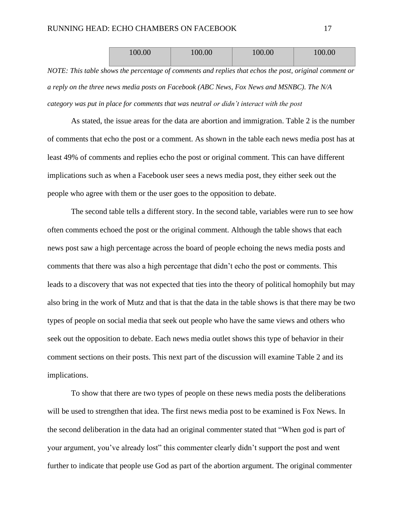| 100.00 | 100.00 | 100.00 | 100.00 |
|--------|--------|--------|--------|
|        |        |        |        |

*NOTE: This table shows the percentage of comments and replies that echos the post, original comment or a reply on the three news media posts on Facebook (ABC News, Fox News and MSNBC). The N/A category was put in place for comments that was neutral or didn't interact with the post*

As stated, the issue areas for the data are abortion and immigration. Table 2 is the number of comments that echo the post or a comment. As shown in the table each news media post has at least 49% of comments and replies echo the post or original comment. This can have different implications such as when a Facebook user sees a news media post, they either seek out the people who agree with them or the user goes to the opposition to debate.

The second table tells a different story. In the second table, variables were run to see how often comments echoed the post or the original comment. Although the table shows that each news post saw a high percentage across the board of people echoing the news media posts and comments that there was also a high percentage that didn't echo the post or comments. This leads to a discovery that was not expected that ties into the theory of political homophily but may also bring in the work of Mutz and that is that the data in the table shows is that there may be two types of people on social media that seek out people who have the same views and others who seek out the opposition to debate. Each news media outlet shows this type of behavior in their comment sections on their posts. This next part of the discussion will examine Table 2 and its implications.

To show that there are two types of people on these news media posts the deliberations will be used to strengthen that idea. The first news media post to be examined is Fox News. In the second deliberation in the data had an original commenter stated that "When god is part of your argument, you've already lost" this commenter clearly didn't support the post and went further to indicate that people use God as part of the abortion argument. The original commenter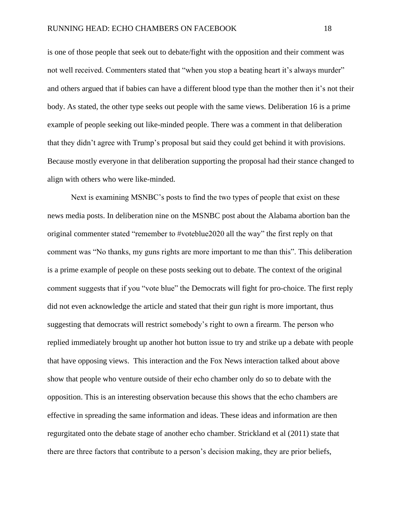is one of those people that seek out to debate/fight with the opposition and their comment was not well received. Commenters stated that "when you stop a beating heart it's always murder" and others argued that if babies can have a different blood type than the mother then it's not their body. As stated, the other type seeks out people with the same views. Deliberation 16 is a prime example of people seeking out like-minded people. There was a comment in that deliberation that they didn't agree with Trump's proposal but said they could get behind it with provisions. Because mostly everyone in that deliberation supporting the proposal had their stance changed to align with others who were like-minded.

Next is examining MSNBC's posts to find the two types of people that exist on these news media posts. In deliberation nine on the MSNBC post about the Alabama abortion ban the original commenter stated "remember to #voteblue2020 all the way" the first reply on that comment was "No thanks, my guns rights are more important to me than this". This deliberation is a prime example of people on these posts seeking out to debate. The context of the original comment suggests that if you "vote blue" the Democrats will fight for pro-choice. The first reply did not even acknowledge the article and stated that their gun right is more important, thus suggesting that democrats will restrict somebody's right to own a firearm. The person who replied immediately brought up another hot button issue to try and strike up a debate with people that have opposing views. This interaction and the Fox News interaction talked about above show that people who venture outside of their echo chamber only do so to debate with the opposition. This is an interesting observation because this shows that the echo chambers are effective in spreading the same information and ideas. These ideas and information are then regurgitated onto the debate stage of another echo chamber. Strickland et al (2011) state that there are three factors that contribute to a person's decision making, they are prior beliefs,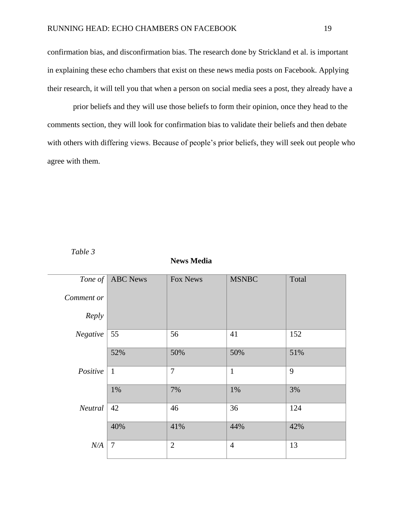confirmation bias, and disconfirmation bias. The research done by Strickland et al. is important in explaining these echo chambers that exist on these news media posts on Facebook. Applying their research, it will tell you that when a person on social media sees a post, they already have a

prior beliefs and they will use those beliefs to form their opinion, once they head to the comments section, they will look for confirmation bias to validate their beliefs and then debate with others with differing views. Because of people's prior beliefs, they will seek out people who agree with them.

<span id="page-27-0"></span>

| I abte |  |
|--------|--|
|--------|--|

| Tone of    | <b>ABC</b> News | Fox News       | <b>MSNBC</b>   | Total |
|------------|-----------------|----------------|----------------|-------|
| Comment or |                 |                |                |       |
| Reply      |                 |                |                |       |
| Negative   | 55              | 56             | 41             | 152   |
|            | 52%             | 50%            | 50%            | 51%   |
| Positive   | $\mathbf{1}$    | 7              | $\mathbf{1}$   | 9     |
|            | 1%              | 7%             | 1%             | 3%    |
| Neutral    | 42              | 46             | 36             | 124   |
|            | 40%             | 41%            | 44%            | 42%   |
| N/A        | $\overline{7}$  | $\overline{2}$ | $\overline{4}$ | 13    |
|            |                 |                |                |       |

#### **News Media**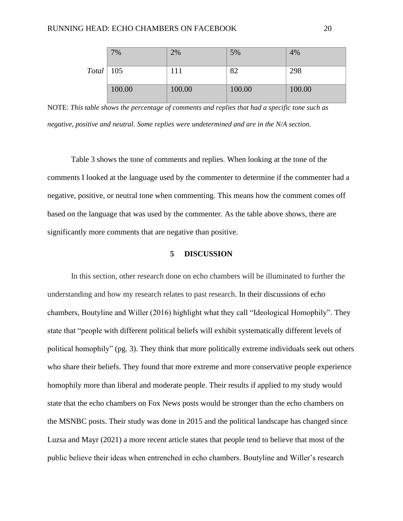|                  | 7%     | 2%     | 5%     | 4%     |
|------------------|--------|--------|--------|--------|
| $Total \mid 105$ |        | 111    | 82     | 298    |
|                  | 100.00 | 100.00 | 100.00 | 100.00 |

NOTE: *This table shows the percentage of comments and replies that had a specific tone such as negative, positive and neutral. Some replies were undetermined and are in the N/A section.*

Table 3 shows the tone of comments and replies. When looking at the tone of the comments I looked at the language used by the commenter to determine if the commenter had a negative, positive, or neutral tone when commenting. This means how the comment comes off based on the language that was used by the commenter. As the table above shows, there are significantly more comments that are negative than positive.

#### **5 DISCUSSION**

<span id="page-28-0"></span>In this section, other research done on echo chambers will be illuminated to further the understanding and how my research relates to past research. In their discussions of echo chambers, Boutyline and Willer (2016) highlight what they call "Ideological Homophily". They state that "people with different political beliefs will exhibit systematically different levels of political homophily" (pg. 3). They think that more politically extreme individuals seek out others who share their beliefs. They found that more extreme and more conservative people experience homophily more than liberal and moderate people. Their results if applied to my study would state that the echo chambers on Fox News posts would be stronger than the echo chambers on the MSNBC posts. Their study was done in 2015 and the political landscape has changed since. Luzsa and Mayr (2021) a more recent article states that people tend to believe that most of the public believe their ideas when entrenched in echo chambers. Boutyline and Willer's research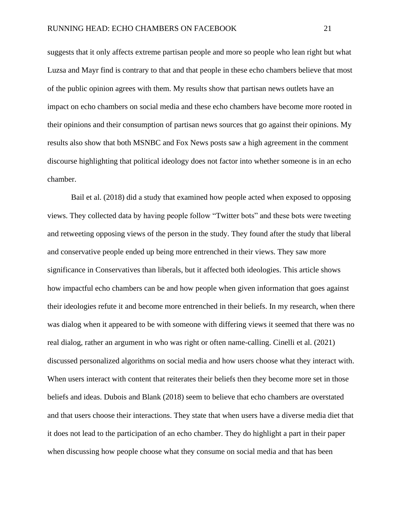suggests that it only affects extreme partisan people and more so people who lean right but what Luzsa and Mayr find is contrary to that and that people in these echo chambers believe that most of the public opinion agrees with them. My results show that partisan news outlets have an impact on echo chambers on social media and these echo chambers have become more rooted in their opinions and their consumption of partisan news sources that go against their opinions. My results also show that both MSNBC and Fox News posts saw a high agreement in the comment discourse highlighting that political ideology does not factor into whether someone is in an echo chamber.

Bail et al. (2018) did a study that examined how people acted when exposed to opposing views. They collected data by having people follow "Twitter bots" and these bots were tweeting and retweeting opposing views of the person in the study. They found after the study that liberal and conservative people ended up being more entrenched in their views. They saw more significance in Conservatives than liberals, but it affected both ideologies. This article shows how impactful echo chambers can be and how people when given information that goes against their ideologies refute it and become more entrenched in their beliefs. In my research, when there was dialog when it appeared to be with someone with differing views it seemed that there was no real dialog, rather an argument in who was right or often name-calling. Cinelli et al. (2021) discussed personalized algorithms on social media and how users choose what they interact with. When users interact with content that reiterates their beliefs then they become more set in those beliefs and ideas. Dubois and Blank (2018) seem to believe that echo chambers are overstated and that users choose their interactions. They state that when users have a diverse media diet that it does not lead to the participation of an echo chamber. They do highlight a part in their paper when discussing how people choose what they consume on social media and that has been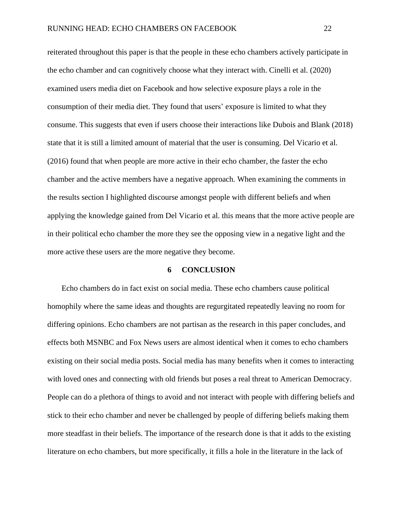reiterated throughout this paper is that the people in these echo chambers actively participate in the echo chamber and can cognitively choose what they interact with. Cinelli et al. (2020) examined users media diet on Facebook and how selective exposure plays a role in the consumption of their media diet. They found that users' exposure is limited to what they consume. This suggests that even if users choose their interactions like Dubois and Blank (2018) state that it is still a limited amount of material that the user is consuming. Del Vicario et al. (2016) found that when people are more active in their echo chamber, the faster the echo chamber and the active members have a negative approach. When examining the comments in the results section I highlighted discourse amongst people with different beliefs and when applying the knowledge gained from Del Vicario et al. this means that the more active people are in their political echo chamber the more they see the opposing view in a negative light and the more active these users are the more negative they become.

#### **6 CONCLUSION**

<span id="page-30-0"></span>Echo chambers do in fact exist on social media. These echo chambers cause political homophily where the same ideas and thoughts are regurgitated repeatedly leaving no room for differing opinions. Echo chambers are not partisan as the research in this paper concludes, and effects both MSNBC and Fox News users are almost identical when it comes to echo chambers existing on their social media posts. Social media has many benefits when it comes to interacting with loved ones and connecting with old friends but poses a real threat to American Democracy. People can do a plethora of things to avoid and not interact with people with differing beliefs and stick to their echo chamber and never be challenged by people of differing beliefs making them more steadfast in their beliefs. The importance of the research done is that it adds to the existing literature on echo chambers, but more specifically, it fills a hole in the literature in the lack of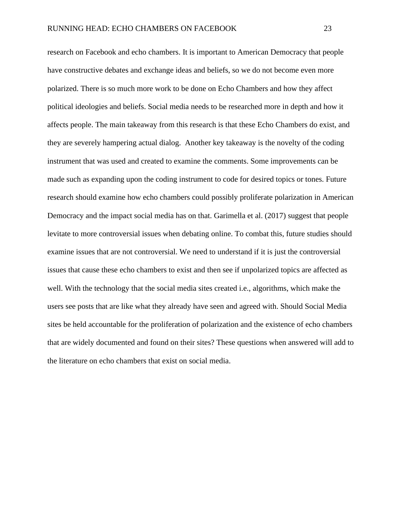research on Facebook and echo chambers. It is important to American Democracy that people have constructive debates and exchange ideas and beliefs, so we do not become even more polarized. There is so much more work to be done on Echo Chambers and how they affect political ideologies and beliefs. Social media needs to be researched more in depth and how it affects people. The main takeaway from this research is that these Echo Chambers do exist, and they are severely hampering actual dialog. Another key takeaway is the novelty of the coding instrument that was used and created to examine the comments. Some improvements can be made such as expanding upon the coding instrument to code for desired topics or tones. Future research should examine how echo chambers could possibly proliferate polarization in American Democracy and the impact social media has on that. Garimella et al. (2017) suggest that people levitate to more controversial issues when debating online. To combat this, future studies should examine issues that are not controversial. We need to understand if it is just the controversial issues that cause these echo chambers to exist and then see if unpolarized topics are affected as well. With the technology that the social media sites created i.e., algorithms, which make the users see posts that are like what they already have seen and agreed with. Should Social Media sites be held accountable for the proliferation of polarization and the existence of echo chambers that are widely documented and found on their sites? These questions when answered will add to the literature on echo chambers that exist on social media.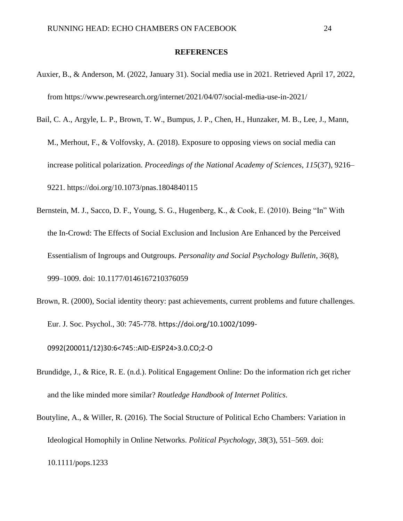#### **REFERENCES**

- <span id="page-32-0"></span>Auxier, B., & Anderson, M. (2022, January 31). Social media use in 2021. Retrieved April 17, 2022, from https://www.pewresearch.org/internet/2021/04/07/social-media-use-in-2021/
- Bail, C. A., Argyle, L. P., Brown, T. W., Bumpus, J. P., Chen, H., Hunzaker, M. B., Lee, J., Mann, M., Merhout, F., & Volfovsky, A. (2018). Exposure to opposing views on social media can increase political polarization. *Proceedings of the National Academy of Sciences*, *115*(37), 9216– 9221. https://doi.org/10.1073/pnas.1804840115
- Bernstein, M. J., Sacco, D. F., Young, S. G., Hugenberg, K., & Cook, E. (2010). Being "In" With the In-Crowd: The Effects of Social Exclusion and Inclusion Are Enhanced by the Perceived Essentialism of Ingroups and Outgroups. *Personality and Social Psychology Bulletin*, *36*(8), 999–1009. doi: 10.1177/0146167210376059
- Brown, R. (2000), Social identity theory: past achievements, current problems and future challenges. Eur. J. Soc. Psychol., 30: 745-778. https://doi.org/10.1002/1099-

0992(200011/12)30:6<745::AID-EJSP24>3.0.CO;2-O

- Brundidge, J., & Rice, R. E. (n.d.). Political Engagement Online: Do the information rich get richer and the like minded more similar? *Routledge Handbook of Internet Politics*.
- Boutyline, A., & Willer, R. (2016). The Social Structure of Political Echo Chambers: Variation in Ideological Homophily in Online Networks. *Political Psychology*, *38*(3), 551–569. doi: 10.1111/pops.1233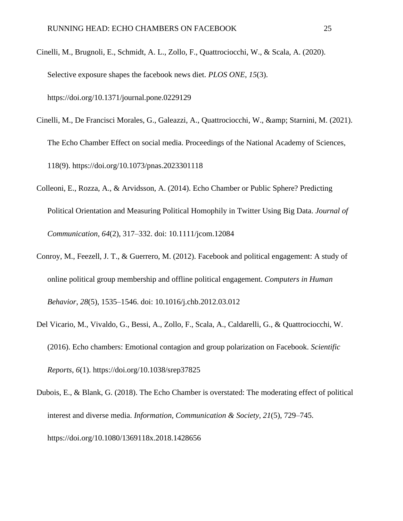- Cinelli, M., Brugnoli, E., Schmidt, A. L., Zollo, F., Quattrociocchi, W., & Scala, A. (2020). Selective exposure shapes the facebook news diet. *PLOS ONE*, *15*(3). https://doi.org/10.1371/journal.pone.0229129
- Cinelli, M., De Francisci Morales, G., Galeazzi, A., Quattrociocchi, W., & amp; Starnini, M. (2021). The Echo Chamber Effect on social media. Proceedings of the National Academy of Sciences, 118(9). https://doi.org/10.1073/pnas.2023301118
- Colleoni, E., Rozza, A., & Arvidsson, A. (2014). Echo Chamber or Public Sphere? Predicting Political Orientation and Measuring Political Homophily in Twitter Using Big Data. *Journal of Communication*, *64*(2), 317–332. doi: 10.1111/jcom.12084
- Conroy, M., Feezell, J. T., & Guerrero, M. (2012). Facebook and political engagement: A study of online political group membership and offline political engagement. *Computers in Human Behavior*, *28*(5), 1535–1546. doi: 10.1016/j.chb.2012.03.012
- Del Vicario, M., Vivaldo, G., Bessi, A., Zollo, F., Scala, A., Caldarelli, G., & Quattrociocchi, W. (2016). Echo chambers: Emotional contagion and group polarization on Facebook. *Scientific Reports*, *6*(1). https://doi.org/10.1038/srep37825
- Dubois, E., & Blank, G. (2018). The Echo Chamber is overstated: The moderating effect of political interest and diverse media. *Information, Communication & Society*, *21*(5), 729–745. https://doi.org/10.1080/1369118x.2018.1428656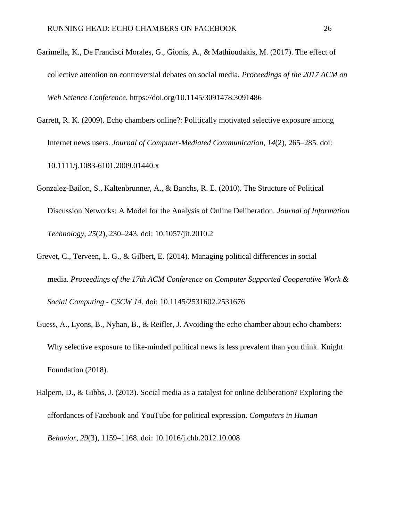- Garimella, K., De Francisci Morales, G., Gionis, A., & Mathioudakis, M. (2017). The effect of collective attention on controversial debates on social media. *Proceedings of the 2017 ACM on Web Science Conference*. https://doi.org/10.1145/3091478.3091486
- Garrett, R. K. (2009). Echo chambers online?: Politically motivated selective exposure among Internet news users. *Journal of Computer-Mediated Communication*, *14*(2), 265–285. doi: 10.1111/j.1083-6101.2009.01440.x
- Gonzalez-Bailon, S., Kaltenbrunner, A., & Banchs, R. E. (2010). The Structure of Political Discussion Networks: A Model for the Analysis of Online Deliberation. *Journal of Information Technology*, *25*(2), 230–243. doi: 10.1057/jit.2010.2
- Grevet, C., Terveen, L. G., & Gilbert, E. (2014). Managing political differences in social media. *Proceedings of the 17th ACM Conference on Computer Supported Cooperative Work & Social Computing - CSCW 14*. doi: 10.1145/2531602.2531676
- Guess, A., Lyons, B., Nyhan, B., & Reifler, J. Avoiding the echo chamber about echo chambers: Why selective exposure to like-minded political news is less prevalent than you think. Knight Foundation (2018).
- Halpern, D., & Gibbs, J. (2013). Social media as a catalyst for online deliberation? Exploring the affordances of Facebook and YouTube for political expression. *Computers in Human Behavior*, *29*(3), 1159–1168. doi: 10.1016/j.chb.2012.10.008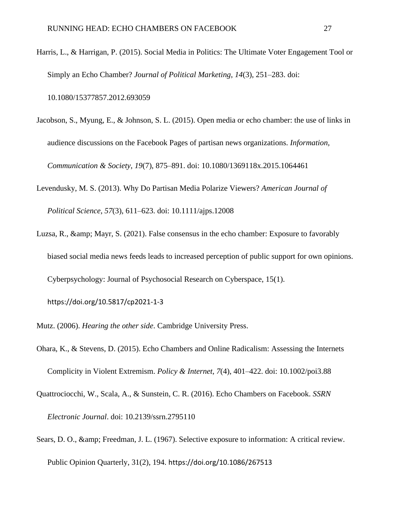Harris, L., & Harrigan, P. (2015). Social Media in Politics: The Ultimate Voter Engagement Tool or Simply an Echo Chamber? *Journal of Political Marketing*, *14*(3), 251–283. doi:

10.1080/15377857.2012.693059

Jacobson, S., Myung, E., & Johnson, S. L. (2015). Open media or echo chamber: the use of links in audience discussions on the Facebook Pages of partisan news organizations. *Information, Communication & Society*, *19*(7), 875–891. doi: 10.1080/1369118x.2015.1064461

Levendusky, M. S. (2013). Why Do Partisan Media Polarize Viewers? *American Journal of* 

*Political Science*, *57*(3), 611–623. doi: 10.1111/ajps.12008

Luzsa, R., & amp; Mayr, S. (2021). False consensus in the echo chamber: Exposure to favorably biased social media news feeds leads to increased perception of public support for own opinions. Cyberpsychology: Journal of Psychosocial Research on Cyberspace, 15(1).

https://doi.org/10.5817/cp2021-1-3

Mutz. (2006). *Hearing the other side*. Cambridge University Press.

- Ohara, K., & Stevens, D. (2015). Echo Chambers and Online Radicalism: Assessing the Internets Complicity in Violent Extremism. *Policy & Internet*, *7*(4), 401–422. doi: 10.1002/poi3.88
- Quattrociocchi, W., Scala, A., & Sunstein, C. R. (2016). Echo Chambers on Facebook. *SSRN Electronic Journal*. doi: 10.2139/ssrn.2795110
- Sears, D. O., & amp; Freedman, J. L. (1967). Selective exposure to information: A critical review. Public Opinion Quarterly, 31(2), 194. https://doi.org/10.1086/267513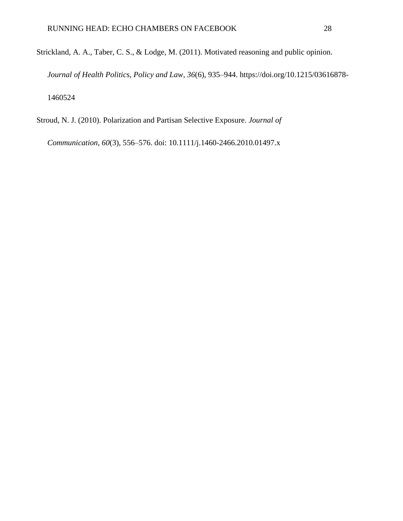Strickland, A. A., Taber, C. S., & Lodge, M. (2011). Motivated reasoning and public opinion. *Journal of Health Politics, Policy and Law*, *36*(6), 935–944. https://doi.org/10.1215/03616878- 1460524

Stroud, N. J. (2010). Polarization and Partisan Selective Exposure. *Journal of* 

*Communication*, *60*(3), 556–576. doi: 10.1111/j.1460-2466.2010.01497.x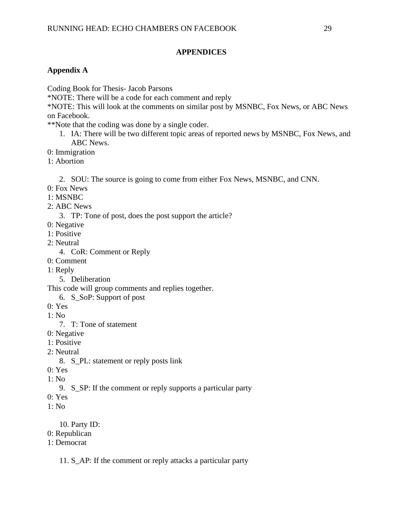## **APPENDICES**

# <span id="page-37-1"></span><span id="page-37-0"></span>**Appendix A**

Coding Book for Thesis- Jacob Parsons

\*NOTE: There will be a code for each comment and reply

\*NOTE: This will look at the comments on similar post by MSNBC, Fox News, or ABC News on Facebook.

\*\*Note that the coding was done by a single coder.

- 1. IA: There will be two different topic areas of reported news by MSNBC, Fox News, and ABC News.
- 0: Immigration
- 1: Abortion

2. SOU: The source is going to come from either Fox News, MSNBC, and CNN.

- 0: Fox News
- 1: MSNBC
- 2: ABC News

3. TP: Tone of post, does the post support the article?

- 0: Negative
- 1: Positive
- 2: Neutral
	- 4. CoR: Comment or Reply
- 0: Comment
- 1: Reply
	- 5. Deliberation

This code will group comments and replies together.

- 6. S\_SoP: Support of post
- 0: Yes
- 1: No
	- 7. T: Tone of statement
- 0: Negative
- 1: Positive
- 2: Neutral
	- 8. S\_PL: statement or reply posts link
- 0: Yes
- $1: No$ 
	- 9. S\_SP: If the comment or reply supports a particular party
- 0: Yes
- 1: No

10. Party ID:

- 0: Republican
- 1: Democrat

11. S\_AP: If the comment or reply attacks a particular party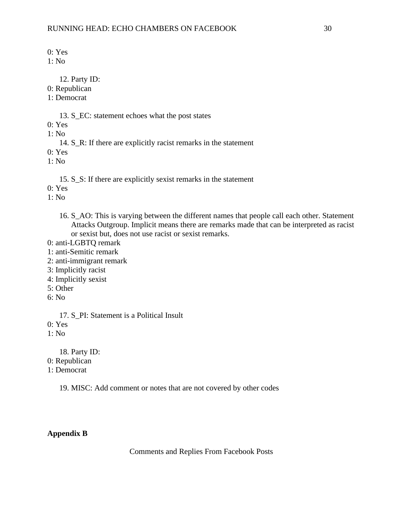0: Yes

 $1: No$ 

12. Party ID:

0: Republican

1: Democrat

13. S\_EC: statement echoes what the post states

0: Yes

1: No

14. S\_R: If there are explicitly racist remarks in the statement

0: Yes

1: No

15. S\_S: If there are explicitly sexist remarks in the statement

0: Yes

1: No

16. S\_AO: This is varying between the different names that people call each other. Statement Attacks Outgroup. Implicit means there are remarks made that can be interpreted as racist or sexist but, does not use racist or sexist remarks.

0: anti-LGBTQ remark

1: anti-Semitic remark

- 2: anti-immigrant remark
- 3: Implicitly racist
- 4: Implicitly sexist
- 5: Other
- 6: No

17. S PI: Statement is a Political Insult

0: Yes

1: No

18. Party ID:

0: Republican

1: Democrat

19. MISC: Add comment or notes that are not covered by other codes

<span id="page-38-0"></span>**Appendix B**

Comments and Replies From Facebook Posts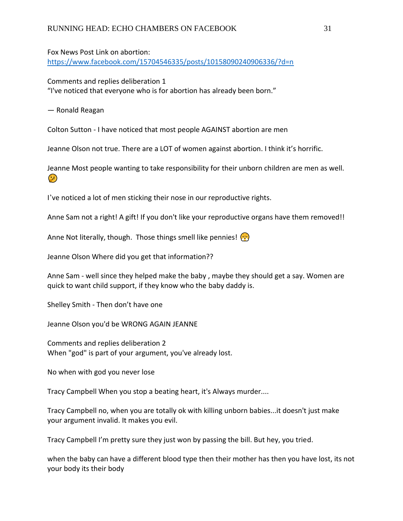Fox News Post Link on abortion: [https://www.facebook.com/15704546335/posts/10158090240906336/?d=n](about:blank)

Comments and replies deliberation 1 "I've noticed that everyone who is for abortion has already been born."

― Ronald Reagan

Colton Sutton - I have noticed that most people AGAINST abortion are men

Jeanne Olson not true. There are a LOT of women against abortion. I think it's horrific.

Jeanne Most people wanting to take responsibility for their unborn children are men as well.  $\odot$ 

I've noticed a lot of men sticking their nose in our reproductive rights.

Anne Sam not a right! A gift! If you don't like your reproductive organs have them removed!!

Anne Not literally, though. Those things smell like pennies!  $\binom{12}{12}$ 

Jeanne Olson Where did you get that information??

Anne Sam - well since they helped make the baby , maybe they should get a say. Women are quick to want child support, if they know who the baby daddy is.

Shelley Smith - Then don't have one

Jeanne Olson you'd be WRONG AGAIN JEANNE

Comments and replies deliberation 2 When "god" is part of your argument, you've already lost.

No when with god you never lose

Tracy Campbell When you stop a beating heart, it's Always murder....

Tracy Campbell no, when you are totally ok with killing unborn babies...it doesn't just make your argument invalid. It makes you evil.

Tracy Campbell I'm pretty sure they just won by passing the bill. But hey, you tried.

when the baby can have a different blood type then their mother has then you have lost, its not your body its their body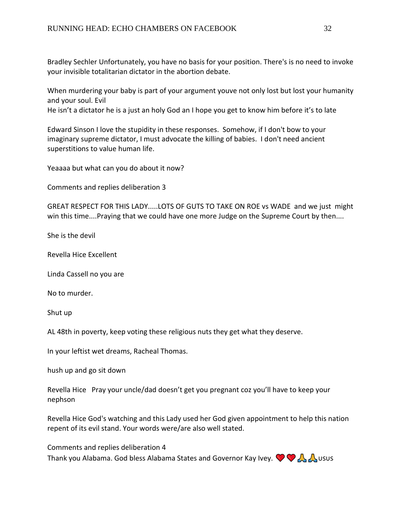Bradley Sechler Unfortunately, you have no basis for your position. There's is no need to invoke your invisible totalitarian dictator in the abortion debate.

When murdering your baby is part of your argument youve not only lost but lost your humanity and your soul. Evil

He isn't a dictator he is a just an holy God an I hope you get to know him before it's to late

Edward Sinson I love the stupidity in these responses. Somehow, if I don't bow to your imaginary supreme dictator, I must advocate the killing of babies. I don't need ancient superstitions to value human life.

Yeaaaa but what can you do about it now?

Comments and replies deliberation 3

GREAT RESPECT FOR THIS LADY.....LOTS OF GUTS TO TAKE ON ROE vs WADE and we just might win this time....Praying that we could have one more Judge on the Supreme Court by then....

She is the devil

Revella Hice Excellent

Linda Cassell no you are

No to murder.

Shut up

AL 48th in poverty, keep voting these religious nuts they get what they deserve.

In your leftist wet dreams, Racheal Thomas.

hush up and go sit down

Revella Hice Pray your uncle/dad doesn't get you pregnant coz you'll have to keep your nephson

Revella Hice God's watching and this Lady used her God given appointment to help this nation repent of its evil stand. Your words were/are also well stated.

Comments and replies deliberation 4 Thank you Alabama. God bless Alabama States and Governor Kay Ivey.  $\bigcirc \bigcirc \bigwedge \bigwedge$  usus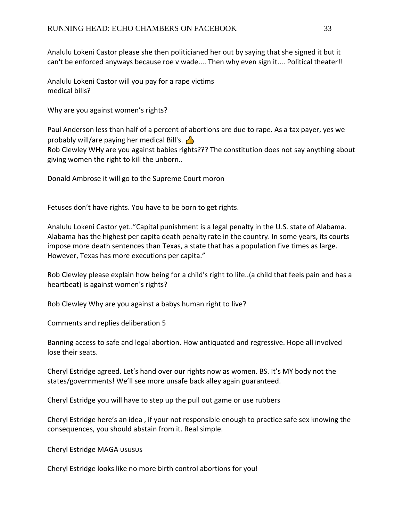Analulu Lokeni Castor please she then politicianed her out by saying that she signed it but it can't be enforced anyways because roe v wade.... Then why even sign it.... Political theater!!

Analulu Lokeni Castor will you pay for a rape victims medical bills?

Why are you against women's rights?

Paul Anderson less than half of a percent of abortions are due to rape. As a tax payer, yes we probably will/are paying her medical Bill's.  $\Box$ Rob Clewley WHy are you against babies rights??? The constitution does not say anything about giving women the right to kill the unborn..

Donald Ambrose it will go to the Supreme Court moron

Fetuses don't have rights. You have to be born to get rights.

Analulu Lokeni Castor yet.."Capital punishment is a legal penalty in the U.S. state of Alabama. Alabama has the highest per capita death penalty rate in the country. In some years, its courts impose more death sentences than Texas, a state that has a population five times as large. However, Texas has more executions per capita."

Rob Clewley please explain how being for a child's right to life..(a child that feels pain and has a heartbeat) is against women's rights?

Rob Clewley Why are you against a babys human right to live?

Comments and replies deliberation 5

Banning access to safe and legal abortion. How antiquated and regressive. Hope all involved lose their seats.

Cheryl Estridge agreed. Let's hand over our rights now as women. BS. It's MY body not the states/governments! We'll see more unsafe back alley again guaranteed.

Cheryl Estridge you will have to step up the pull out game or use rubbers

Cheryl Estridge here's an idea , if your not responsible enough to practice safe sex knowing the consequences, you should abstain from it. Real simple.

Cheryl Estridge MAGA

Cheryl Estridge looks like no more birth control abortions for you!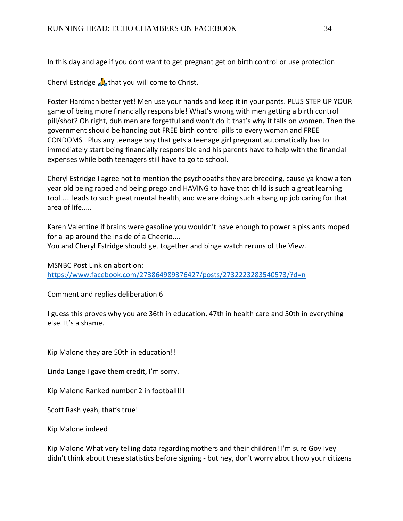In this day and age if you dont want to get pregnant get on birth control or use protection

Cheryl Estridge  $\bigwedge$  that you will come to Christ.

Foster Hardman better yet! Men use your hands and keep it in your pants. PLUS STEP UP YOUR game of being more financially responsible! What's wrong with men getting a birth control pill/shot? Oh right, duh men are forgetful and won't do it that's why it falls on women. Then the government should be handing out FREE birth control pills to every woman and FREE CONDOMS . Plus any teenage boy that gets a teenage girl pregnant automatically has to immediately start being financially responsible and his parents have to help with the financial expenses while both teenagers still have to go to school.

Cheryl Estridge I agree not to mention the psychopaths they are breeding, cause ya know a ten year old being raped and being prego and HAVING to have that child is such a great learning tool..... leads to such great mental health, and we are doing such a bang up job caring for that area of life.....

Karen Valentine if brains were gasoline you wouldn't have enough to power a piss ants moped for a lap around the inside of a Cheerio.... You and Cheryl Estridge should get together and binge watch reruns of the View.

MSNBC Post Link on abortion: [https://www.facebook.com/273864989376427/posts/2732223283540573/?d=n](about:blank)

Comment and replies deliberation 6

I guess this proves why you are 36th in education, 47th in health care and 50th in everything else. It's a shame.

Kip Malone they are 50th in education!!

Linda Lange I gave them credit, I'm sorry.

Kip Malone Ranked number 2 in football!!!

Scott Rash yeah, that's true!

Kip Malone indeed

Kip Malone What very telling data regarding mothers and their children! I'm sure Gov Ivey didn't think about these statistics before signing - but hey, don't worry about how your citizens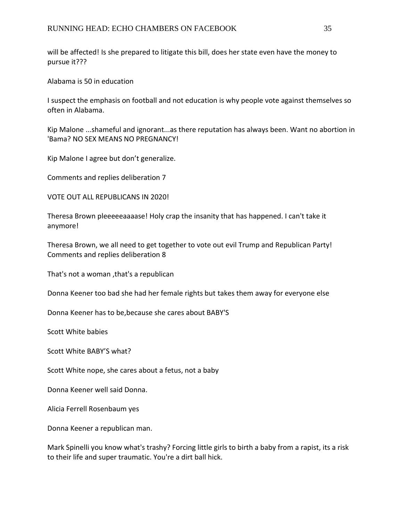will be affected! Is she prepared to litigate this bill, does her state even have the money to pursue it???

Alabama is 50 in education

I suspect the emphasis on football and not education is why people vote against themselves so often in Alabama.

Kip Malone ...shameful and ignorant...as there reputation has always been. Want no abortion in 'Bama? NO SEX MEANS NO PREGNANCY!

Kip Malone I agree but don't generalize.

Comments and replies deliberation 7

VOTE OUT ALL REPUBLICANS IN 2020!

Theresa Brown pleeeeeaaaase! Holy crap the insanity that has happened. I can't take it anymore!

Theresa Brown, we all need to get together to vote out evil Trump and Republican Party! Comments and replies deliberation 8

That's not a woman ,that's a republican

Donna Keener too bad she had her female rights but takes them away for everyone else

Donna Keener has to be,because she cares about BABY'S

Scott White babies

Scott White BABY'S what?

Scott White nope, she cares about a fetus, not a baby

Donna Keener well said Donna.

Alicia Ferrell Rosenbaum yes

Donna Keener a republican man.

Mark Spinelli you know what's trashy? Forcing little girls to birth a baby from a rapist, its a risk to their life and super traumatic. You're a dirt ball hick.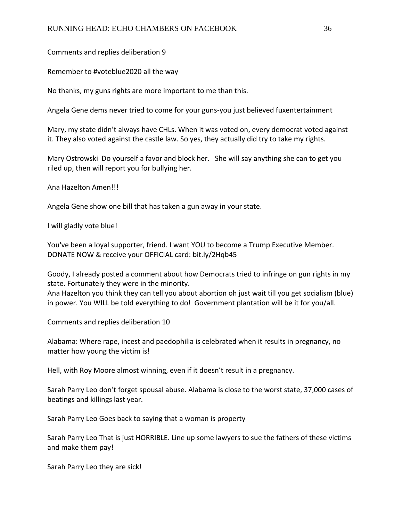## Comments and replies deliberation 9

Remember to #voteblue2020 all the way

No thanks, my guns rights are more important to me than this.

Angela Gene dems never tried to come for your guns-you just believed fuxentertainment

Mary, my state didn't always have CHLs. When it was voted on, every democrat voted against it. They also voted against the castle law. So yes, they actually did try to take my rights.

Mary Ostrowski Do yourself a favor and block her. She will say anything she can to get you riled up, then will report you for bullying her.

Ana Hazelton Amen!!!

Angela Gene show one bill that has taken a gun away in your state.

I will gladly vote blue!

You've been a loyal supporter, friend. I want YOU to become a Trump Executive Member. DONATE NOW & receive your OFFICIAL card: bit.ly/2Hqb45

Goody, I already posted a comment about how Democrats tried to infringe on gun rights in my state. Fortunately they were in the minority.

Ana Hazelton you think they can tell you about abortion oh just wait till you get socialism (blue) in power. You WILL be told everything to do! Government plantation will be it for you/all.

Comments and replies deliberation 10

Alabama: Where rape, incest and paedophilia is celebrated when it results in pregnancy, no matter how young the victim is!

Hell, with Roy Moore almost winning, even if it doesn't result in a pregnancy.

Sarah Parry Leo don't forget spousal abuse. Alabama is close to the worst state, 37,000 cases of beatings and killings last year.

Sarah Parry Leo Goes back to saying that a woman is property

Sarah Parry Leo That is just HORRIBLE. Line up some lawyers to sue the fathers of these victims and make them pay!

Sarah Parry Leo they are sick!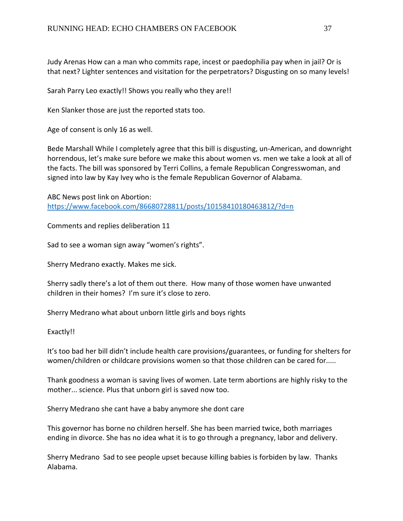Judy Arenas How can a man who commits rape, incest or paedophilia pay when in jail? Or is that next? Lighter sentences and visitation for the perpetrators? Disgusting on so many levels!

Sarah Parry Leo exactly!! Shows you really who they are!!

Ken Slanker those are just the reported stats too.

Age of consent is only 16 as well.

Bede Marshall While I completely agree that this bill is disgusting, un-American, and downright horrendous, let's make sure before we make this about women vs. men we take a look at all of the facts. The bill was sponsored by Terri Collins, a female Republican Congresswoman, and signed into law by Kay Ivey who is the female Republican Governor of Alabama.

ABC News post link on Abortion: [https://www.facebook.com/86680728811/posts/10158410180463812/?d=n](about:blank)

Comments and replies deliberation 11

Sad to see a woman sign away "women's rights".

Sherry Medrano exactly. Makes me sick.

Sherry sadly there's a lot of them out there. How many of those women have unwanted children in their homes? I'm sure it's close to zero.

Sherry Medrano what about unborn little girls and boys rights

Exactly!!

It's too bad her bill didn't include health care provisions/guarantees, or funding for shelters for women/children or childcare provisions women so that those children can be cared for.....

Thank goodness a woman is saving lives of women. Late term abortions are highly risky to the mother... science. Plus that unborn girl is saved now too.

Sherry Medrano she cant have a baby anymore she dont care

This governor has borne no children herself. She has been married twice, both marriages ending in divorce. She has no idea what it is to go through a pregnancy, labor and delivery.

Sherry Medrano Sad to see people upset because killing babies is forbiden by law. Thanks Alabama.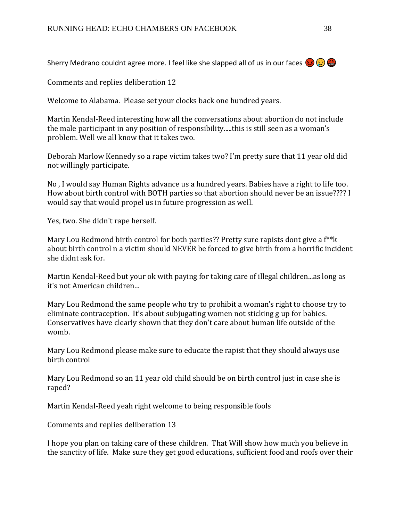Sherry Medrano couldnt agree more. I feel like she slapped all of us in our faces  $(2)$ 

Comments and replies deliberation 12

Welcome to Alabama. Please set your clocks back one hundred years.

Martin Kendal-Reed interesting how all the conversations about abortion do not include the male participant in any position of responsibility.....this is still seen as a woman's problem. Well we all know that it takes two.

Deborah Marlow Kennedy so a rape victim takes two? I'm pretty sure that 11 year old did not willingly participate.

No , I would say Human Rights advance us a hundred years. Babies have a right to life too. How about birth control with BOTH parties so that abortion should never be an issue???? I would say that would propel us in future progression as well.

Yes, two. She didn't rape herself.

Mary Lou Redmond birth control for both parties?? Pretty sure rapists dont give a f<sup>\*\*</sup>k about birth control n a victim should NEVER be forced to give birth from a horrific incident she didnt ask for.

Martin Kendal-Reed but your ok with paying for taking care of illegal children...as long as it's not American children...

Mary Lou Redmond the same people who try to prohibit a woman's right to choose try to eliminate contraception. It's about subjugating women not sticking g up for babies. Conservatives have clearly shown that they don't care about human life outside of the womb.

Mary Lou Redmond please make sure to educate the rapist that they should always use birth control

Mary Lou Redmond so an 11 year old child should be on birth control just in case she is raped?

Martin Kendal-Reed yeah right welcome to being responsible fools

Comments and replies deliberation 13

I hope you plan on taking care of these children. That Will show how much you believe in the sanctity of life. Make sure they get good educations, sufficient food and roofs over their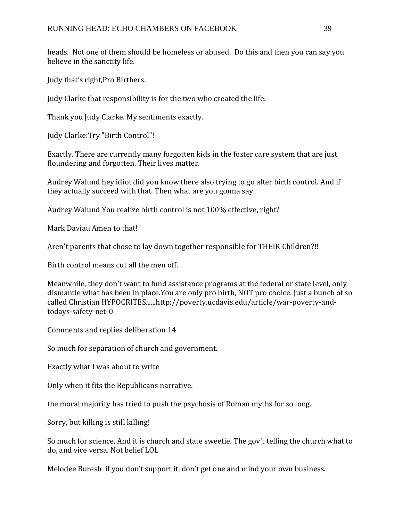heads. Not one of them should be homeless or abused. Do this and then you can say you believe in the sanctity life.

Judy that's right,Pro Birthers.

Judy Clarke that responsibility is for the two who created the life.

Thank you Judy Clarke. My sentiments exactly.

Judy Clarke:Try "Birth Control"!

Exactly. There are currently many forgotten kids in the foster care system that are just floundering and forgotten. Their lives matter.

Audrey Walund hey idiot did you know there also trying to go after birth control. And if they actually succeed with that. Then what are you gonna say

Audrey Walund You realize birth control is not 100% effective, right?

Mark Daviau Amen to that!

Aren't parents that chose to lay down together responsible for THEIR Children?!!

Birth control means cut all the men off.

Meanwhile, they don't want to fund assistance programs at the federal or state level, only dismantle what has been in place.You are only pro birth, NOT pro choice. Just a bunch of so called Christian HYPOCRITES......http://poverty.ucdavis.edu/article/war-poverty-andtodays-safety-net-0

Comments and replies deliberation 14

So much for separation of church and government.

Exactly what I was about to write

Only when it fits the Republicans narrative.

the moral majority has tried to push the psychosis of Roman myths for so long.

Sorry, but killing is still killing!

So much for science. And it is church and state sweetie. The gov't telling the church what to do, and vice versa. Not belief LOL

Melodee Buresh if you don't support it, don't get one and mind your own business.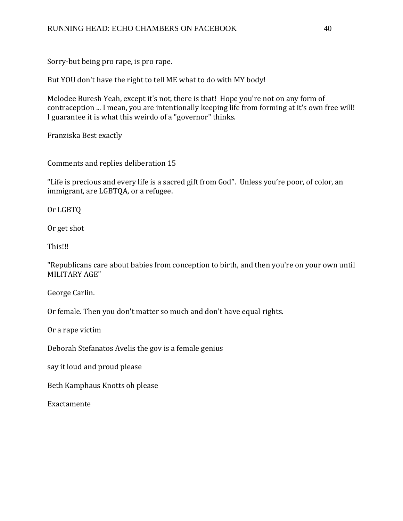Sorry-but being pro rape, is pro rape.

But YOU don't have the right to tell ME what to do with MY body!

Melodee Buresh Yeah, except it's not, there is that! Hope you're not on any form of contraception ... I mean, you are intentionally keeping life from forming at it's own free will! I guarantee it is what this weirdo of a "governor" thinks.

Franziska Best exactly

Comments and replies deliberation 15

"Life is precious and every life is a sacred gift from God". Unless you're poor, of color, an immigrant, are LGBTQA, or a refugee.

Or LGBTQ

Or get shot

This!!!

"Republicans care about babies from conception to birth, and then you're on your own until MILITARY AGE"

George Carlin.

Or female. Then you don't matter so much and don't have equal rights.

Or a rape victim

Deborah Stefanatos Avelis the gov is a female genius

say it loud and proud please

Beth Kamphaus Knotts oh please

Exactamente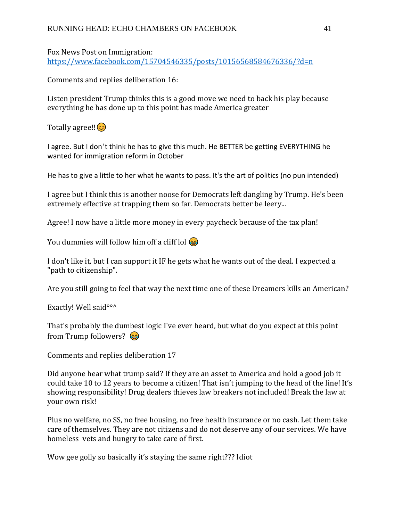Fox News Post on Immigration: [https://www.facebook.com/15704546335/posts/10156568584676336/?d=n](about:blank)

Comments and replies deliberation 16:

Listen president Trump thinks this is a good move we need to back his play because everything he has done up to this point has made America greater

Totally agree!! $\odot$ 

I agree. But I don't think he has to give this much. He BETTER be getting EVERYTHING he wanted for immigration reform in October

He has to give a little to her what he wants to pass. It's the art of politics (no pun intended)

I agree but I think this is another noose for Democrats left dangling by Trump. He's been extremely effective at trapping them so far. Democrats better be leery...

Agree! I now have a little more money in every paycheck because of the tax plan!

You dummies will follow him off a cliff lol  $\odot$ 

I don't like it, but I can support it IF he gets what he wants out of the deal. I expected a "path to citizenship".

Are you still going to feel that way the next time one of these Dreamers kills an American?

Exactly! Well said<sup>oo ^</sup>

That's probably the dumbest logic I've ever heard, but what do you expect at this point from Trump followers?  $\bigcirc$ 

Comments and replies deliberation 17

Did anyone hear what trump said? If they are an asset to America and hold a good job it could take 10 to 12 years to become a citizen! That isn't jumping to the head of the line! It's showing responsibility! Drug dealers thieves law breakers not included! Break the law at your own risk!

Plus no welfare, no SS, no free housing, no free health insurance or no cash. Let them take care of themselves. They are not citizens and do not deserve any of our services. We have homeless vets and hungry to take care of first.

Wow gee golly so basically it's staying the same right??? Idiot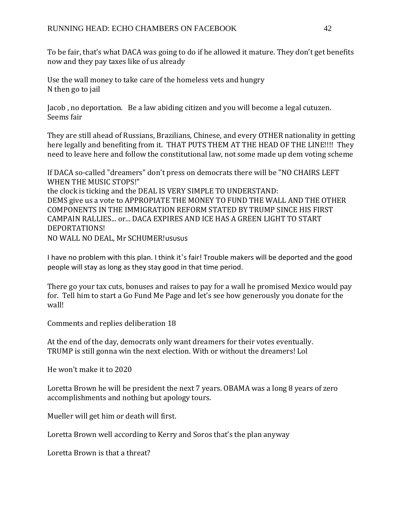To be fair, that's what DACA was going to do if he allowed it mature. They don't get benefits now and they pay taxes like of us already

Use the wall money to take care of the homeless vets and hungry N then go to jail

Jacob , no deportation. Be a law abiding citizen and you will become a legal cutuzen. Seems fair

They are still ahead of Russians, Brazilians, Chinese, and every OTHER nationality in getting here legally and benefiting from it. THAT PUTS THEM AT THE HEAD OF THE LINE!!!! They need to leave here and follow the constitutional law, not some made up dem voting scheme

If DACA so-called "dreamers" don't press on democrats there will be "NO CHAIRS LEFT WHEN THE MUSIC STOPS!"

the clock is ticking and the DEAL IS VERY SIMPLE TO UNDERSTAND: DEMS give us a vote to APPROPIATE THE MONEY TO FUND THE WALL AND THE OTHER COMPONENTS IN THE IMMIGRATION REFORM STATED BY TRUMP SINCE HIS FIRST CAMPAIN RALLIES... or... DACA EXPIRES AND ICE HAS A GREEN LIGHT TO START DEPORTATIONS! NO WALL NO DEAL, Mr SCHUMER!

I have no problem with this plan. I think it's fair! Trouble makers will be deported and the good people will stay as long as they stay good in that time period.

There go your tax cuts, bonuses and raises to pay for a wall he promised Mexico would pay for. Tell him to start a Go Fund Me Page and let's see how generously you donate for the wall!

Comments and replies deliberation 18

At the end of the day, democrats only want dreamers for their votes eventually. TRUMP is still gonna win the next election. With or without the dreamers! Lol

He won't make it to 2020

Loretta Brown he will be president the next 7 years. OBAMA was a long 8 years of zero accomplishments and nothing but apology tours.

Mueller will get him or death will first.

Loretta Brown well according to Kerry and Soros that's the plan anyway

Loretta Brown is that a threat?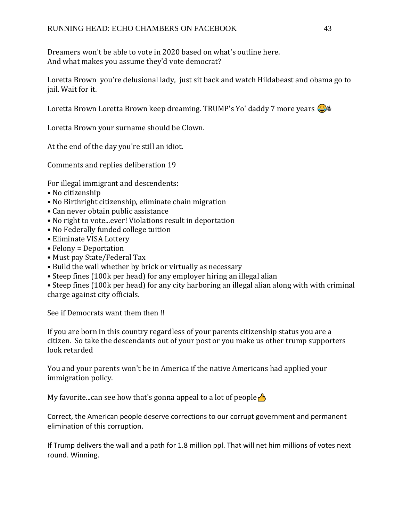Dreamers won't be able to vote in 2020 based on what's outline here. And what makes you assume they'd vote democrat?

Loretta Brown you're delusional lady, just sit back and watch Hildabeast and obama go to iail. Wait for it.

Loretta Brown Loretta Brown keep dreaming. TRUMP's Yo' daddy 7 more years  $\bigcirc$   $\bullet$ 

Loretta Brown your surname should be Clown.

At the end of the day you're still an idiot.

Comments and replies deliberation 19

For illegal immigrant and descendents:

- No citizenship
- No Birthright citizenship, eliminate chain migration
- Can never obtain public assistance
- No right to vote...ever! Violations result in deportation
- No Federally funded college tuition
- Eliminate VISA Lottery
- Felony = Deportation
- Must pay State/Federal Tax
- Build the wall whether by brick or virtually as necessary
- Steep fines (100k per head) for any employer hiring an illegal alian

• Steep fines (100k per head) for any city harboring an illegal alian along with with criminal charge against city officials.

See if Democrats want them then !!

If you are born in this country regardless of your parents citizenship status you are a citizen. So take the descendants out of your post or you make us other trump supporters look retarded

You and your parents won't be in America if the native Americans had applied your immigration policy.

My favorite...can see how that's gonna appeal to a lot of people  $\triangle$ 

Correct, the American people deserve corrections to our corrupt government and permanent elimination of this corruption.

If Trump delivers the wall and a path for 1.8 million ppl. That will net him millions of votes next round. Winning.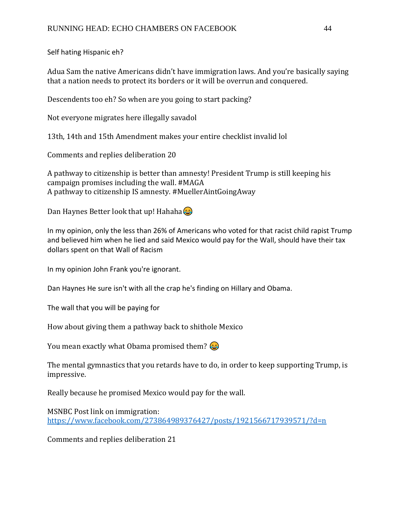Self hating Hispanic eh?

Adua Sam the native Americans didn't have immigration laws. And you're basically saying that a nation needs to protect its borders or it will be overrun and conquered.

Descendents too eh? So when are you going to start packing?

Not everyone migrates here illegally savadol

13th, 14th and 15th Amendment makes your entire checklist invalid lol

Comments and replies deliberation 20

A pathway to citizenship is better than amnesty! President Trump is still keeping his campaign promises including the wall. #MAGA A pathway to citizenship IS amnesty. #MuellerAintGoingAway

Dan Haynes Better look that up! Hahaha $\odot$ 

In my opinion, only the less than 26% of Americans who voted for that racist child rapist Trump and believed him when he lied and said Mexico would pay for the Wall, should have their tax dollars spent on that Wall of Racism

In my opinion John Frank you're ignorant.

Dan Haynes He sure isn't with all the crap he's finding on Hillary and Obama.

The wall that you will be paying for

How about giving them a pathway back to shithole Mexico

You mean exactly what Obama promised them?

The mental gymnastics that you retards have to do, in order to keep supporting Trump, is impressive.

Really because he promised Mexico would pay for the wall.

MSNBC Post link on immigration: [https://www.facebook.com/273864989376427/posts/1921566717939571/?d=n](about:blank)

Comments and replies deliberation 21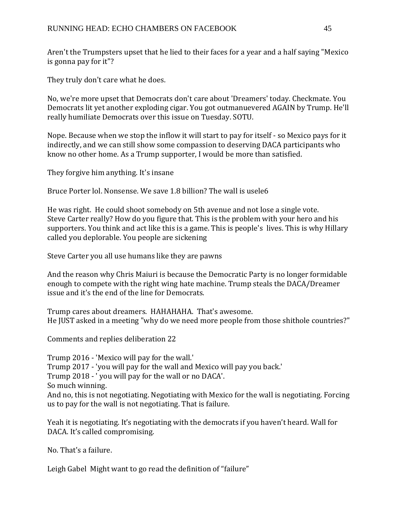Aren't the Trumpsters upset that he lied to their faces for a year and a half saying "Mexico is gonna pay for it"?

They truly don't care what he does.

No, we're more upset that Democrats don't care about 'Dreamers' today. Checkmate. You Democrats lit yet another exploding cigar. You got outmanuevered AGAIN by Trump. He'll really humiliate Democrats over this issue on Tuesday. SOTU.

Nope. Because when we stop the inflow it will start to pay for itself - so Mexico pays for it indirectly, and we can still show some compassion to deserving DACA participants who know no other home. As a Trump supporter, I would be more than satisfied.

They forgive him anything. It's insane

Bruce Porter lol. Nonsense. We save 1.8 billion? The wall is usele6

He was right. He could shoot somebody on 5th avenue and not lose a single vote. Steve Carter really? How do you figure that. This is the problem with your hero and his supporters. You think and act like this is a game. This is people's lives. This is why Hillary called you deplorable. You people are sickening

Steve Carter you all use humans like they are pawns

And the reason why Chris Maiuri is because the Democratic Party is no longer formidable enough to compete with the right wing hate machine. Trump steals the DACA/Dreamer issue and it's the end of the line for Democrats.

Trump cares about dreamers. HAHAHAHA. That's awesome. He JUST asked in a meeting "why do we need more people from those shithole countries?"

Comments and replies deliberation 22

Trump 2016 - 'Mexico will pay for the wall.' Trump 2017 - 'you will pay for the wall and Mexico will pay you back.' Trump 2018 - ' you will pay for the wall or no DACA'. So much winning. And no, this is not negotiating. Negotiating with Mexico for the wall is negotiating. Forcing us to pay for the wall is not negotiating. That is failure.

Yeah it is negotiating. It's negotiating with the democrats if you haven't heard. Wall for DACA. It's called compromising.

No. That's a failure.

Leigh Gabel Might want to go read the definition of "failure"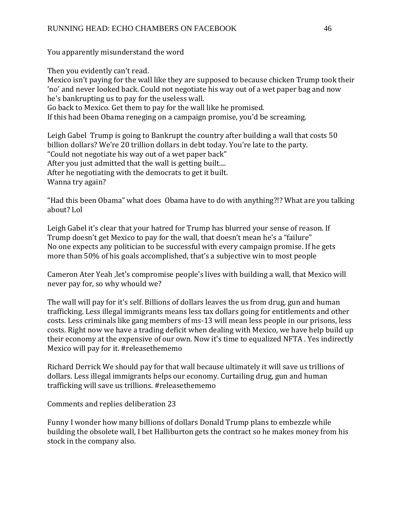You apparently misunderstand the word

Then you evidently can't read.

Mexico isn't paying for the wall like they are supposed to because chicken Trump took their 'no' and never looked back. Could not negotiate his way out of a wet paper bag and now he's bankrupting us to pay for the useless wall. Go back to Mexico. Get them to pay for the wall like he promised.

If this had been Obama reneging on a campaign promise, you'd be screaming.

Leigh Gabel Trump is going to Bankrupt the country after building a wall that costs 50 billion dollars? We're 20 trillion dollars in debt today. You're late to the party. "Could not negotiate his way out of a wet paper back" After you just admitted that the wall is getting built.... After he negotiating with the democrats to get it built. Wanna try again?

"Had this been Obama" what does Obama have to do with anything?!? What are you talking about? Lol

Leigh Gabel it's clear that your hatred for Trump has blurred your sense of reason. If Trump doesn't get Mexico to pay for the wall, that doesn't mean he's a "failure" No one expects any politician to be successful with every campaign promise. If he gets more than 50% of his goals accomplished, that's a subjective win to most people

Cameron Ater Yeah ,let's compromise people's lives with building a wall, that Mexico will never pay for, so why whould we?

The wall will pay for it's self. Billions of dollars leaves the us from drug, gun and human trafficking. Less illegal immigrants means less tax dollars going for entitlements and other costs. Less criminals like gang members of ms-13 will mean less people in our prisons, less costs. Right now we have a trading deficit when dealing with Mexico, we have help build up their economy at the expensive of our own. Now it's time to equalized NFTA . Yes indirectly Mexico will pay for it. #releasethememo

Richard Derrick We should pay for that wall because ultimately it will save us trillions of dollars. Less illegal immigrants helps our economy. Curtailing drug, gun and human trafficking will save us trillions. #releasethememo

Comments and replies deliberation 23

Funny I wonder how many billions of dollars Donald Trump plans to embezzle while building the obsolete wall, I bet Halliburton gets the contract so he makes money from his stock in the company also.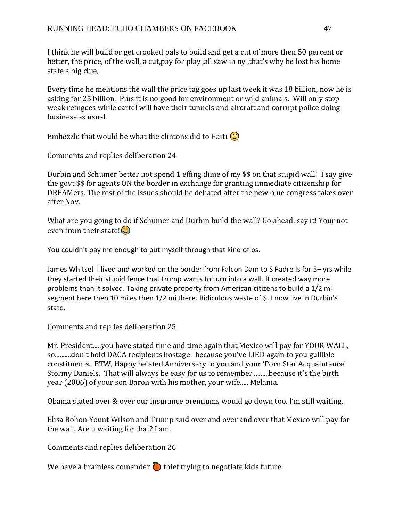I think he will build or get crooked pals to build and get a cut of more then 50 percent or better, the price, of the wall, a cut,pay for play ,all saw in ny ,that's why he lost his home state a big clue,

Every time he mentions the wall the price tag goes up last week it was 18 billion, now he is asking for 25 billion. Plus it is no good for environment or wild animals. Will only stop weak refugees while cartel will have their tunnels and aircraft and corrupt police doing business as usual.

Embezzle that would be what the clintons did to Haiti  $\circled{r}$ 

Comments and replies deliberation 24

Durbin and Schumer better not spend 1 effing dime of my \$\$ on that stupid wall! I say give the govt \$\$ for agents ON the border in exchange for granting immediate citizenship for DREAMers. The rest of the issues should be debated after the new blue congress takes over after Nov.

What are you going to do if Schumer and Durbin build the wall? Go ahead, say it! Your not even from their state! $\odot$ 

You couldn't pay me enough to put myself through that kind of bs.

James Whitsell I lived and worked on the border from Falcon Dam to S Padre Is for 5+ yrs while they started their stupid fence that trump wants to turn into a wall. It created way more problems than it solved. Taking private property from American citizens to build a 1/2 mi segment here then 10 miles then 1/2 mi there. Ridiculous waste of \$. I now live in Durbin's state.

Comments and replies deliberation 25

Mr. President.....you have stated time and time again that Mexico will pay for YOUR WALL, so..........don't hold DACA recipients hostage because you've LIED again to you gullible constituents. BTW, Happy belated Anniversary to you and your 'Porn Star Acquaintance' Stormy Daniels. That will always be easy for us to remember .........because it's the birth year (2006) of your son Baron with his mother, your wife..... Melania.

Obama stated over & over our insurance premiums would go down too. I'm still waiting.

Elisa Bohon Yount Wilson and Trump said over and over and over that Mexico will pay for the wall. Are u waiting for that? I am.

Comments and replies deliberation 26

We have a brainless comander  $\sum$  thief trying to negotiate kids future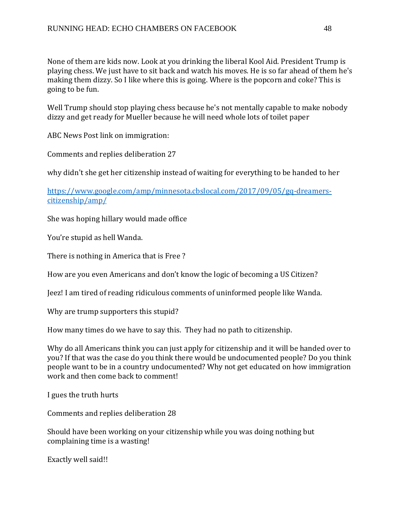None of them are kids now. Look at you drinking the liberal Kool Aid. President Trump is playing chess. We just have to sit back and watch his moves. He is so far ahead of them he's making them dizzy. So I like where this is going. Where is the popcorn and coke? This is going to be fun.

Well Trump should stop playing chess because he's not mentally capable to make nobody dizzy and get ready for Mueller because he will need whole lots of toilet paper

ABC News Post link on immigration:

Comments and replies deliberation 27

why didn't she get her citizenship instead of waiting for everything to be handed to her

[https://www.google.com/amp/minnesota.cbslocal.com/2017/09/05/gq-dreamers](about:blank)[citizenship/amp/](about:blank)

She was hoping hillary would made office

You're stupid as hell Wanda.

There is nothing in America that is Free ?

How are you even Americans and don't know the logic of becoming a US Citizen?

Jeez! I am tired of reading ridiculous comments of uninformed people like Wanda.

Why are trump supporters this stupid?

How many times do we have to say this. They had no path to citizenship.

Why do all Americans think you can just apply for citizenship and it will be handed over to you? If that was the case do you think there would be undocumented people? Do you think people want to be in a country undocumented? Why not get educated on how immigration work and then come back to comment!

I gues the truth hurts

Comments and replies deliberation 28

Should have been working on your citizenship while you was doing nothing but complaining time is a wasting!

Exactly well said!!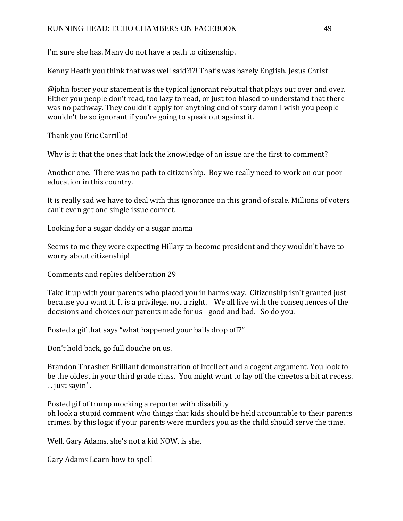## RUNNING HEAD: ECHO CHAMBERS ON FACEBOOK 49

I'm sure she has. Many do not have a path to citizenship.

Kenny Heath you think that was well said?!?! That's was barely English. Jesus Christ

@john foster your statement is the typical ignorant rebuttal that plays out over and over. Either you people don't read, too lazy to read, or just too biased to understand that there was no pathway. They couldn't apply for anything end of story damn I wish you people wouldn't be so ignorant if you're going to speak out against it.

Thank you Eric Carrillo!

Why is it that the ones that lack the knowledge of an issue are the first to comment?

Another one. There was no path to citizenship. Boy we really need to work on our poor education in this country.

It is really sad we have to deal with this ignorance on this grand of scale. Millions of voters can't even get one single issue correct.

Looking for a sugar daddy or a sugar mama

Seems to me they were expecting Hillary to become president and they wouldn't have to worry about citizenship!

Comments and replies deliberation 29

Take it up with your parents who placed you in harms way. Citizenship isn't granted just because you want it. It is a privilege, not a right. We all live with the consequences of the decisions and choices our parents made for us - good and bad. So do you.

Posted a gif that says "what happened your balls drop off?"

Don't hold back, go full douche on us.

Brandon Thrasher Brilliant demonstration of intellect and a cogent argument. You look to be the oldest in your third grade class. You might want to lay off the cheetos a bit at recess. . . just sayin' .

Posted gif of trump mocking a reporter with disability oh look a stupid comment who things that kids should be held accountable to their parents crimes. by this logic if your parents were murders you as the child should serve the time.

Well, Gary Adams, she's not a kid NOW, is she.

Gary Adams Learn how to spell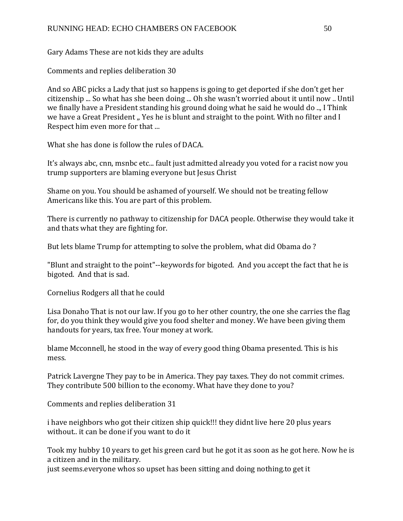Gary Adams These are not kids they are adults

Comments and replies deliberation 30

And so ABC picks a Lady that just so happens is going to get deported if she don't get her citizenship ... So what has she been doing ... Oh she wasn't worried about it until now .. Until we finally have a President standing his ground doing what he said he would do .., I Think we have a Great President ,, Yes he is blunt and straight to the point. With no filter and I Respect him even more for that ...

What she has done is follow the rules of DACA.

It's always abc, cnn, msnbc etc... fault just admitted already you voted for a racist now you trump supporters are blaming everyone but Jesus Christ

Shame on you. You should be ashamed of yourself. We should not be treating fellow Americans like this. You are part of this problem.

There is currently no pathway to citizenship for DACA people. Otherwise they would take it and thats what they are fighting for.

But lets blame Trump for attempting to solve the problem, what did Obama do ?

"Blunt and straight to the point"--keywords for bigoted. And you accept the fact that he is bigoted. And that is sad.

Cornelius Rodgers all that he could

Lisa Donaho That is not our law. If you go to her other country, the one she carries the flag for, do you think they would give you food shelter and money. We have been giving them handouts for years, tax free. Your money at work.

blame Mcconnell, he stood in the way of every good thing Obama presented. This is his mess.

Patrick Lavergne They pay to be in America. They pay taxes. They do not commit crimes. They contribute 500 billion to the economy. What have they done to you?

Comments and replies deliberation 31

i have neighbors who got their citizen ship quick!!! they didnt live here 20 plus years without.. it can be done if you want to do it

Took my hubby 10 years to get his green card but he got it as soon as he got here. Now he is a citizen and in the military.

just seems.everyone whos so upset has been sitting and doing nothing.to get it